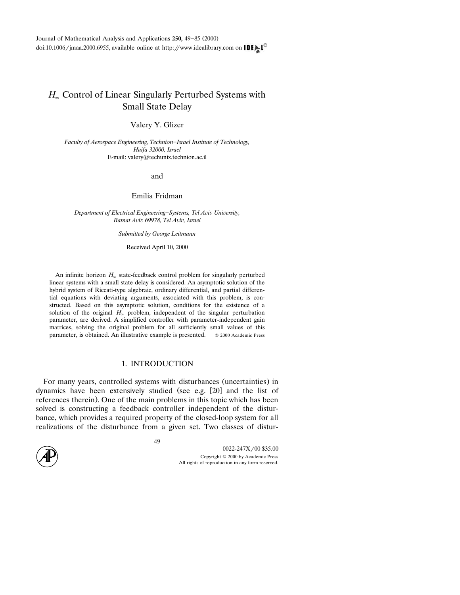Journal of Mathematical Analysis and Applications 250, 49-85 (2000) doi:10.1006/jmaa.2000.6955, available online at http://www.idealibrary.com on **IDE** 

# *H*- Control of Linear Singularly Perturbed Systems with Small State Delay

Valery Y. Glizer

*Faculty of Aerospace Engineering, TechnionIsrael Institute of Technology, Haifa 32000, Israel* E-mail: valery@techunix.technion.ac.il

and

Emilia Fridman

Department of Electrical Engineering-Systems, Tel Aviv University, *Ramat A*-*i*- *69978, Tel A*-*i*-*, Israel*

*Submitted by George Leitmann*

Received April 10, 2000

An infinite horizon  $H_{\infty}$  state-feedback control problem for singularly perturbed linear systems with a small state delay is considered. An asymptotic solution of the hybrid system of Riccati-type algebraic, ordinary differential, and partial differential equations with deviating arguments, associated with this problem, is constructed. Based on this asymptotic solution, conditions for the existence of a solution of the original  $H_{\infty}$  problem, independent of the singular perturbation parameter, are derived. A simplified controller with parameter-independent gain matrices, solving the original problem for all sufficiently small values of this parameter, is obtained. An illustrative example is presented.  $\circ$  2000 Academic Press

### 1. INTRODUCTION

For many years, controlled systems with disturbances (uncertainties) in dynamics have been extensively studied (see e.g. [20] and the list of references therein). One of the main problems in this topic which has been solved is constructing a feedback controller independent of the disturbance, which provides a required property of the closed-loop system for all realizations of the disturbance from a given set. Two classes of distur-

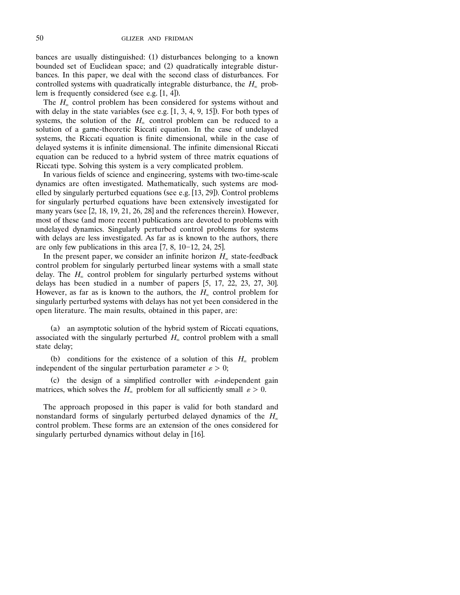bances are usually distinguished: (1) disturbances belonging to a known bounded set of Euclidean space; and (2) quadratically integrable disturbances. In this paper, we deal with the second class of disturbances. For controlled systems with quadratically integrable disturbance, the  $H_{\infty}$  problem is frequently considered (see e.g.  $[1, 4]$ ).

The  $H_{\infty}$  control problem has been considered for systems without and with delay in the state variables (see e.g.  $[1, 3, 4, 9, 15]$ ). For both types of systems, the solution of the  $H_{\infty}$  control problem can be reduced to a solution of a game-theoretic Riccati equation. In the case of undelayed systems, the Riccati equation is finite dimensional, while in the case of delayed systems it is infinite dimensional. The infinite dimensional Riccati equation can be reduced to a hybrid system of three matrix equations of Riccati type. Solving this system is a very complicated problem.

In various fields of science and engineering, systems with two-time-scale dynamics are often investigated. Mathematically, such systems are modelled by singularly perturbed equations (see e.g.  $[13, 29]$ ). Control problems for singularly perturbed equations have been extensively investigated for many years (see  $[2, 18, 19, 21, 26, 28]$  and the references therein). However, most of these (and more recent) publications are devoted to problems with undelayed dynamics. Singularly perturbed control problems for systems with delays are less investigated. As far as is known to the authors, there are only few publications in this area  $[7, 8, 10-12, 24, 25]$ .

In the present paper, we consider an infinite horizon  $H_{\infty}$  state-feedback control problem for singularly perturbed linear systems with a small state delay. The  $H_{\infty}$  control problem for singularly perturbed systems without delays has been studied in a number of papers  $[5, 17, 22, 23, 27, 30]$ . However, as far as is known to the authors, the  $H_{\infty}$  control problem for singularly perturbed systems with delays has not yet been considered in the open literature. The main results, obtained in this paper, are:

(a) an asymptotic solution of the hybrid system of Riccati equations, associated with the singularly perturbed  $H_{\infty}$  control problem with a small state delay;

(b) conditions for the existence of a solution of this  $H_{\infty}$  problem independent of the singular perturbation parameter  $\varepsilon > 0$ ;

(c) the design of a simplified controller with  $\varepsilon$ -independent gain matrices, which solves the  $H_n$  problem for all sufficiently small  $\varepsilon > 0$ .

The approach proposed in this paper is valid for both standard and nonstandard forms of singularly perturbed delayed dynamics of the  $H_{\infty}$  control problem. These forms are an extension of the ones considered for singularly perturbed dynamics without delay in  $[16]$ .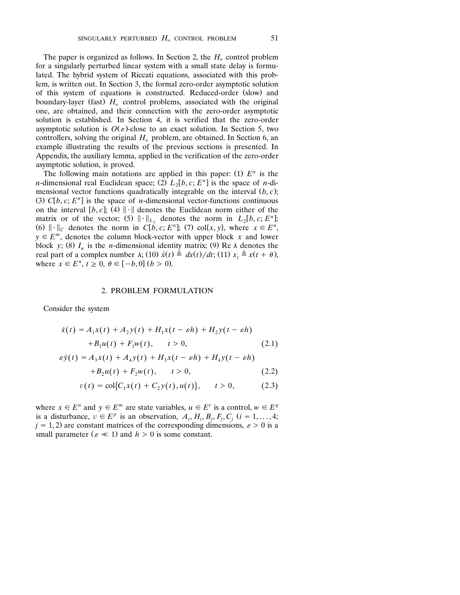The paper is organized as follows. In Section 2, the  $H_$  control problem for a singularly perturbed linear system with a small state delay is formulated. The hybrid system of Riccati equations, associated with this problem, is written out. In Section 3, the formal zero-order asymptotic solution of this system of equations is constructed. Reduced-order (slow) and boundary-layer (fast)  $H_{\infty}$  control problems, associated with the original one, are obtained, and their connection with the zero-order asymptotic solution is established. In Section 4, it is verified that the zero-order asymptotic solution is  $O(\varepsilon)$ -close to an exact solution. In Section 5, two controllers, solving the original  $H_{\infty}$  problem, are obtained. In Section 6, an example illustrating the results of the previous sections is presented. In Appendix, the auxiliary lemma, applied in the verification of the zero-order asymptotic solution, is proved.

The following main notations are applied in this paper: (1)  $E<sup>n</sup>$  is the *n*-dimensional real Euclidean space; (2)  $L_2[b, c; E^n]$  is the space of *n*-dimensional vector functions quadratically integrable on the interval  $(b, c)$ ; (3)  $C[b, c; E<sup>n</sup>]$  is the space of *n*-dimensional vector-functions continuous on the interval  $[b, c]$ ; (4)  $\|\cdot\|$  denotes the Euclidean norm either of the matrix or of the vector; (5)  $\|\cdot\|_{L_2}$  denotes the norm in  $L_2[b, c; E^n]$ ; (6)  $\|\cdot\|_C$  denotes the norm in  $C[b, c; E^n]$ ; (7) col $\{x, y\}$ , where  $x \in E^n$ ,  $y \in E^m$ , denotes the column block-vector with upper block *x* and lower block *y*; (8)  $I_n$  is the *n*-dimensional identity matrix; (9) Re  $\lambda$  denotes the real part of a complex number  $\lambda$ ; (10)  $\dot{x}(t) \triangleq dx(t)/dt$ ; (11)  $x_t \triangleq x(t + \theta)$ , where  $x \in E^n$ ,  $t > 0$ ,  $\theta \in [-b, 0]$   $(b > 0)$ .

#### 2. PROBLEM FORMULATION

Consider the system

$$
\dot{x}(t) = A_1 x(t) + A_2 y(t) + H_1 x(t - \varepsilon h) + H_2 y(t - \varepsilon h)
$$
  
+ B<sub>1</sub>u(t) + F<sub>1</sub>w(t), t > 0, (2.1)

$$
\varepsilon \dot{y}(t) = A_3 x(t) + A_4 y(t) + H_3 x(t - \varepsilon h) + H_4 y(t - \varepsilon h)
$$
  
+ 
$$
B_2 u(t) + F_2 w(t), \qquad t > 0,
$$
 (2.2)

$$
v(t) = \text{col}\{C_1x(t) + C_2y(t), u(t)\}, \quad t > 0,
$$
 (2.3)

where  $x \in E^n$  and  $y \in E^m$  are state variables,  $u \in E^r$  is a control,  $w \in E^q$ is a disturbance,  $v \in E^p$  is an observation,  $A_i$ ,  $H_i$ ,  $B_j$ ,  $F_j$ ,  $C_j$  ( $i = 1, ..., 4$ ;  $j = 1, 2$ ) are constant matrices of the corresponding dimensions,  $\varepsilon > 0$  is a small parameter ( $\varepsilon \ll 1$ ) and  $h > 0$  is some constant.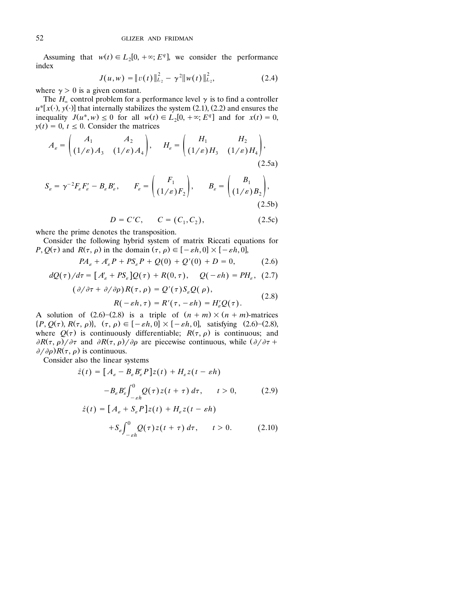Assuming that  $w(t) \in L_2[0, +\infty; E^q]$ , we consider the performance index

$$
J(u, w) = ||v(t)||_{L_2}^2 - \gamma^2 ||w(t)||_{L_2}^2,
$$
 (2.4)

where  $\gamma > 0$  is a given constant.

The  $H_{\infty}$  control problem for a performance level  $\gamma$  is to find a controller  $u^*[x(\cdot), y(\cdot)]$  that internally stabilizes the system (2.1), (2.2) and ensures the inequality  $J(u^*, w) \le 0$  for all  $w(t) \in L_2[0, +\infty; E^q]$  and for  $x(t) = 0$ ,  $y(t) = 0, t \le 0$ . Consider the matrices

$$
A_{\varepsilon} = \begin{pmatrix} A_1 & A_2 \\ (1/\varepsilon) A_3 & (1/\varepsilon) A_4 \end{pmatrix}, \quad H_{\varepsilon} = \begin{pmatrix} H_1 & H_2 \\ (1/\varepsilon) H_3 & (1/\varepsilon) H_4 \end{pmatrix},
$$
\n(2.5a)

$$
S_{\varepsilon} = \gamma^{-2} F_{\varepsilon} F_{\varepsilon}' - B_{\varepsilon} B_{\varepsilon}', \qquad F_{\varepsilon} = \begin{pmatrix} F_1 \\ (1/\varepsilon) F_2 \end{pmatrix}, \qquad B_{\varepsilon} = \begin{pmatrix} B_1 \\ (1/\varepsilon) B_2 \end{pmatrix}, \tag{2.5b}
$$

 $D = C'C$ ,  $C = (C_1, C_2)$ , (2.5c)

where the prime denotes the transposition.

Consider the following hybrid system of matrix Riccati equations for  $P, Q(\tau)$  and  $R(\tau, \rho)$  in the domain  $(\tau, \rho) \in [-\varepsilon h, 0] \times [-\varepsilon h, 0]$ ,

$$
PA_{\varepsilon} + A_{\varepsilon}'P + PS_{\varepsilon}P + Q(0) + Q'(0) + D = 0, \qquad (2.6)
$$

$$
dQ(\tau)/d\tau = \left[A'_{\varepsilon} + PS_{\varepsilon}\right]Q(\tau) + R(0, \tau), \quad Q(-\varepsilon h) = PH_{\varepsilon}, \tag{2.7}
$$

$$
(\partial/\partial \tau + \partial/\partial \rho)R(\tau, \rho) = Q'(\tau)S_{\varepsilon}Q(\rho),
$$
  
 
$$
R(-\varepsilon h, \tau) = R'(\tau, -\varepsilon h) = H'_{\varepsilon}Q(\tau).
$$
 (2.8)

A solution of  $(2.6)$ – $(2.8)$  is a triple of  $(n + m) \times (n + m)$ -matrices  $\{P, Q(\tau), R(\tau, \rho)\}, \quad (\tau, \rho) \in [-\varepsilon h, 0] \times [-\varepsilon h, 0]$ , satisfying (2.6)-(2.8), where  $Q(\tau)$  is continuously differentiable;  $R(\tau, \rho)$  is continuous; and  $\partial R(\tau, \rho)/\partial \tau$  and  $\partial R(\tau, \rho)/\partial \rho$  are piecewise continuous, while  $(\partial/\partial \tau + \rho)/\partial \tau$  $\partial/\partial \rho$ ) $R(\tau, \rho)$  is continuous.

Consider also the linear systems

$$
\dot{z}(t) = \left[A_{\varepsilon} - B_{\varepsilon} B_{\varepsilon}' P\right] z(t) + H_{\varepsilon} z(t - \varepsilon h)
$$

$$
-B_{\varepsilon} B_{\varepsilon}' \int_{-\varepsilon h}^{0} Q(\tau) z(t + \tau) d\tau, \qquad t > 0, \tag{2.9}
$$

$$
\dot{z}(t) = \left[A_{\varepsilon} + S_{\varepsilon} P\right] z(t) + H_{\varepsilon} z(t - \varepsilon h)
$$

$$
+S_{\varepsilon} \int_{-\varepsilon h}^{0} Q(\tau) z(t + \tau) d\tau, \qquad t > 0. \tag{2.10}
$$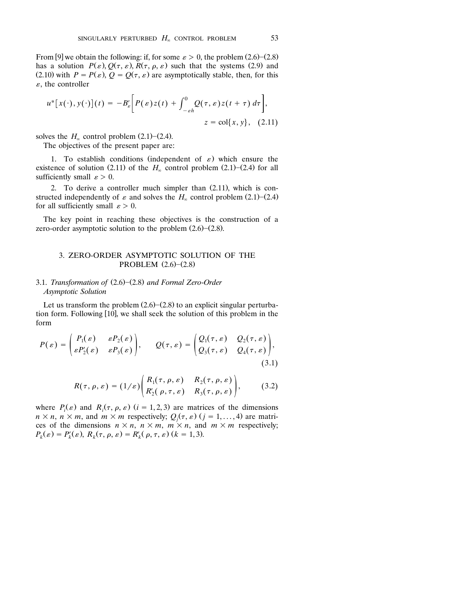From [9] we obtain the following: if, for some  $\varepsilon > 0$ , the problem  $(2.6)$ – $(2.8)$ has a solution  $P(\varepsilon)$ ,  $Q(\tau, \varepsilon)$ ,  $R(\tau, \rho, \varepsilon)$  such that the systems (2.9) and (2.10) with  $P = P(\varepsilon)$ ,  $Q = Q(\tau, \varepsilon)$  are asymptotically stable, then, for this  $\varepsilon$ , the controller

$$
u^* [x(\cdot), y(\cdot)](t) = -B'_{\varepsilon} \bigg[ P(\varepsilon) z(t) + \int_{-\varepsilon h}^0 Q(\tau, \varepsilon) z(t + \tau) d\tau \bigg],
$$
  

$$
z = \text{col}\{x, y\}, \quad (2.11)
$$

solves the  $H_{\infty}$  control problem  $(2.1)$ – $(2.4)$ .

The objectives of the present paper are:

1. To establish conditions (independent of  $\varepsilon$ ) which ensure the existence of solution (2.11) of the  $H_{\infty}$  control problem (2.1)–(2.4) for all sufficiently small  $\varepsilon > 0$ .

2. To derive a controller much simpler than  $(2.11)$ , which is constructed independently of  $\varepsilon$  and solves the  $H_{\infty}$  control problem  $(2.1)$ – $(2.4)$ for all sufficiently small  $\varepsilon > 0$ .

The key point in reaching these objectives is the construction of a zero-order asymptotic solution to the problem  $(2.6)$ – $(2.8)$ .

### 3. ZERO-ORDER ASYMPTOTIC SOLUTION OF THE PROBLEM  $(2.6)$  – $(2.8)$

### 3.1. *Transformation of* (2.6)-(2.8) and Formal Zero-Order *Asymptotic Solution*

Let us transform the problem  $(2.6)$  - $(2.8)$  to an explicit singular perturbation form. Following [10], we shall seek the solution of this problem in the form

$$
P(\varepsilon) = \begin{pmatrix} P_1(\varepsilon) & \varepsilon P_2(\varepsilon) \\ \varepsilon P_2'(\varepsilon) & \varepsilon P_3(\varepsilon) \end{pmatrix}, \qquad Q(\tau, \varepsilon) = \begin{pmatrix} Q_1(\tau, \varepsilon) & Q_2(\tau, \varepsilon) \\ Q_3(\tau, \varepsilon) & Q_4(\tau, \varepsilon) \end{pmatrix},
$$
\n(3.1)

$$
R(\tau, \rho, \varepsilon) = (1/\varepsilon) \begin{pmatrix} R_1(\tau, \rho, \varepsilon) & R_2(\tau, \rho, \varepsilon) \\ R'_2(\rho, \tau, \varepsilon) & R_3(\tau, \rho, \varepsilon) \end{pmatrix}, \quad (3.2)
$$

where  $P_i(\varepsilon)$  and  $R_i(\tau, \rho, \varepsilon)$  (*i* = 1, 2, 3) are matrices of the dimensions  $n \times n$ ,  $n \times m$ , and  $m \times m$  respectively;  $Q_j(\tau, \varepsilon)$  ( $j = 1, ..., 4$ ) are matrices of the dimensions  $n \times n$ ,  $n \times m$ ,  $m \times n$ , and  $m \times m$  respectively;  $P_k(\varepsilon) = P'_k(\varepsilon), R_k(\tau, \rho, \varepsilon) = R'_k(\rho, \tau, \varepsilon)$  (k = 1, 3).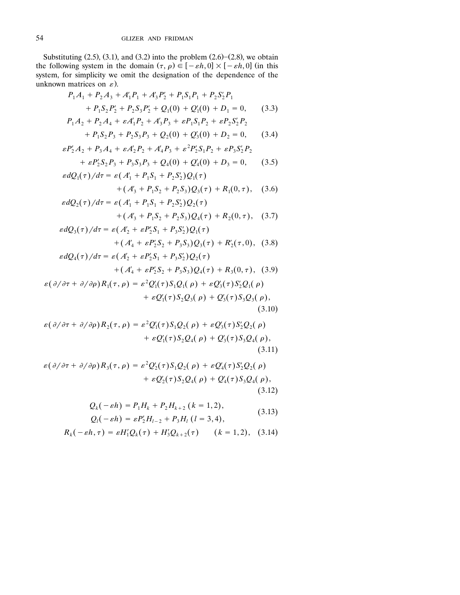Substituting  $(2.5)$ ,  $(3.1)$ , and  $(3.2)$  into the problem  $(2.6)$ – $(2.8)$ , we obtain the following system in the domain  $(\tau, \rho) \in [-\varepsilon h, 0] \times [-\varepsilon h, 0]$  (in this system, for simplicity we omit the designation of the dependence of the unknown matrices on  $\varepsilon$ ).

$$
P_1A_1 + P_2A_3 + A'_1P_1 + A'_3P'_2 + P_1S_1P_1 + P_2S'_2P_1
$$
  
+  $P_1S_2P'_2 + P_2S_3P'_2 + Q_1(0) + Q'_1(0) + D_1 = 0,$  (3.3)  
 $P_1A_2 + P_2A_4 + \varepsilon A'_1P_2 + A'_3P_3 + \varepsilon P_1S_1P_2 + \varepsilon P_2S'_2P_2$ 

+ 
$$
P_1S_2P_3 + P_2S_3P_3 + Q_2(0) + Q'_3(0) + D_2 = 0,
$$
 (3.4)

$$
\varepsilon P_2' A_2 + P_3 A_4 + \varepsilon A_2' P_2 + A_4' P_3 + \varepsilon^2 P_2' S_1 P_2 + \varepsilon P_3 S_2' P_2
$$
  
+  $\varepsilon P_2' S_2 P_3 + P_3 S_3 P_3 + Q_4(0) + Q_4'(0) + D_3 = 0,$  (3.5)

$$
\varepsilon dQ_1(\tau)/d\tau = \varepsilon (A'_1 + P_1 S_1 + P_2 S'_2) Q_1(\tau) + (A'_3 + P_1 S_2 + P_2 S_3) Q_3(\tau) + R_1(0, \tau), \quad (3.6)
$$

$$
\varepsilon dQ_2(\tau)/d\tau = \varepsilon (A'_1 + P_1S_1 + P_2S'_2)Q_2(\tau) + (A'_3 + P_1S_2 + P_2S_3)Q_4(\tau) + R_2(0, \tau), \quad (3.7)
$$

$$
\varepsilon dQ_3(\tau)/d\tau = \varepsilon (A'_2 + \varepsilon P'_2 S_1 + P_3 S'_2) Q_1(\tau) + (A'_4 + \varepsilon P'_2 S_2 + P_3 S_3) Q_3(\tau) + R'_2(\tau, 0), \quad (3.8) \n\varepsilon dQ_4(\tau)/d\tau = \varepsilon (A'_2 + \varepsilon P'_2 S_1 + P_3 S'_2) Q_2(\tau)
$$

+
$$
(A'_4 + \varepsilon P'_2 S_2 + P_3 S_3) Q_4(\tau) + R_3(0, \tau),
$$
 (3.9)

$$
\varepsilon(\partial/\partial\tau+\partial/\partial\rho)R_1(\tau,\rho)=\varepsilon^2Q_1'(\tau)S_1Q_1(\rho)+\varepsilon Q_3'(\tau)S_2'Q_1(\rho)+\varepsilon Q_1'(\tau)S_2Q_3(\rho)+Q_3'(\tau)S_3Q_3(\rho),
$$
\n(3.10)

$$
\varepsilon(\partial/\partial\tau+\partial/\partial\rho)R_2(\tau,\rho)=\varepsilon^2Q_1'(\tau)S_1Q_2(\rho)+\varepsilonQ_3'(\tau)S_2'Q_2(\rho)+\varepsilon Q_1'(\tau)S_2Q_4(\rho)+Q_3'(\tau)S_3Q_4(\rho),
$$
\n(3.11)

$$
\varepsilon(\partial/\partial\tau+\partial/\partial\rho)R_3(\tau,\rho)=\varepsilon^2Q_2'(\tau)S_1Q_2(\rho)+\varepsilon Q_4'(\tau)S_2'Q_2(\rho)+\varepsilon Q_2'(\tau)S_2Q_4(\rho)+Q_4'(\tau)S_3Q_4(\rho),
$$
\n(3.12)

$$
Q_k(-\varepsilon h) = P_1 H_k + P_2 H_{k+2} (k = 1, 2),
$$
  
\n
$$
Q_l(-\varepsilon h) = \varepsilon P_2' H_{l-2} + P_3 H_l (l = 3, 4),
$$
\n(3.13)

$$
R_k(-\varepsilon h,\tau) = \varepsilon H'_1 Q_k(\tau) + H'_3 Q_{k+2}(\tau) \qquad (k = 1,2), \quad (3.14)
$$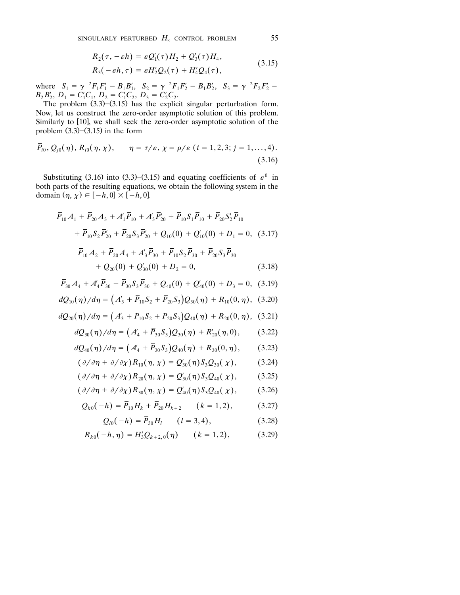$$
R_2(\tau, -\varepsilon h) = \varepsilon Q_1'(\tau) H_2 + Q_3'(\tau) H_4,
$$
  
\n
$$
R_3(-\varepsilon h, \tau) = \varepsilon H_2' Q_2(\tau) + H_4' Q_4(\tau),
$$
\n(3.15)

$$
R_3(-\varepsilon h,\tau)=\varepsilon H_2'Q_2(\tau)+H_4'Q_4(\tau),\qquad \qquad (3.12)
$$

where  $S_1 = \gamma^{-2} F_1 F_1' - B_1 B_1', S_2 = \gamma^{-2} F_1 F_2' - B_1 B_2', S_3 = \gamma^{-2} F_2 F_2' B_2 B_2, D_1 = C_1 C_1, D_2 = C_1 C_2, D_3 = C_2 C_2.$ 

The problem  $(3.3)$ – $(3.15)$  has the explicit singular perturbation form. Now, let us construct the zero-order asymptotic solution of this problem. Similarly to [10], we shall seek the zero-order asymptotic solution of the problem  $(3.3)$ – $(3.15)$  in the form

$$
\bar{P}_{i0}, Q_{j0}(\eta), R_{i0}(\eta, \chi), \qquad \eta = \tau/\varepsilon, \chi = \rho/\varepsilon \ (i = 1, 2, 3; j = 1, ..., 4).
$$
\n(3.16)

Substituting (3.16) into (3.3)–(3.15) and equating coefficients of  $\varepsilon^0$  in both parts of the resulting equations, we obtain the following system in the domain  $(\eta, \chi) \in [-h, 0] \times [-h, 0]$ .

$$
\overline{P}_{10}A_1 + \overline{P}_{20}A_3 + A'_1\overline{P}_{10} + A'_3\overline{P}'_{20} + \overline{P}_{10}S_1\overline{P}_{10} + \overline{P}_{20}S'_2\overline{P}_{10}
$$
\n
$$
+ \overline{P}_{10}S_2\overline{P}'_{20} + \overline{P}_{20}S_3\overline{P}'_{20} + Q_{10}(0) + Q'_{10}(0) + D_1 = 0, (3.17)
$$
\n
$$
\overline{P}_{10}A_2 + \overline{P}_{20}A_4 + A'_3\overline{P}_{30} + \overline{P}_{10}S_2\overline{P}_{30} + \overline{P}_{20}S_3\overline{P}_{30}
$$
\n
$$
+ Q_{20}(0) + Q'_{30}(0) + D_2 = 0,
$$
\n(3.18)

$$
\overline{P}_{30}A_4 + A'_4 \overline{P}_{30} + \overline{P}_{30}S_3 \overline{P}_{30} + Q_{40}(0) + Q'_{40}(0) + D_3 = 0, (3.19)
$$

$$
dQ_{10}(\eta)/d\eta = \left(A'_3 + \overline{P}_{10}S_2 + \overline{P}_{20}S_3\right)Q_{30}(\eta) + R_{10}(0, \eta), \quad (3.20)
$$

$$
dQ_{20}(\eta)/d\eta = \left(A_3 + \overline{P}_{10}S_2 + \overline{P}_{20}S_3\right)Q_{40}(\eta) + R_{20}(0, \eta), \quad (3.21)
$$

$$
dQ_{30}(\eta)/d\eta = (A'_4 + \bar{P}_{30}S_3)Q_{30}(\eta) + R'_{20}(\eta,0), \qquad (3.22)
$$

$$
dQ_{40}(\eta)/d\eta = \left(A'_4 + \bar{P}_{30}S_3\right)Q_{40}(\eta) + R_{30}(0,\eta),\qquad(3.23)
$$

$$
(\partial/\partial\eta+\partial/\partial\chi)R_{10}(\eta,\chi)=Q'_{30}(\eta)S_3Q_{30}(\chi),\qquad(3.24)
$$

$$
(\partial/\partial\eta+\partial/\partial\chi)R_{20}(\eta,\chi)=Q'_{30}(\eta)S_3Q_{40}(\chi),\qquad(3.25)
$$

$$
(\partial/\partial\eta+\partial/\partial\chi)R_{30}(\eta,\chi)=Q'_{40}(\eta)S_3Q_{40}(\chi),\qquad(3.26)
$$

$$
Q_{k0}(-h) = \overline{P}_{10}H_k + \overline{P}_{20}H_{k+2} \qquad (k = 1, 2), \tag{3.27}
$$

$$
Q_{l0}(-h) = \bar{P}_{30}H_l \qquad (l = 3, 4), \qquad (3.28)
$$

$$
R_{k0}(-h,\eta) = H_3' Q_{k+2,0}(\eta) \qquad (k = 1,2), \tag{3.29}
$$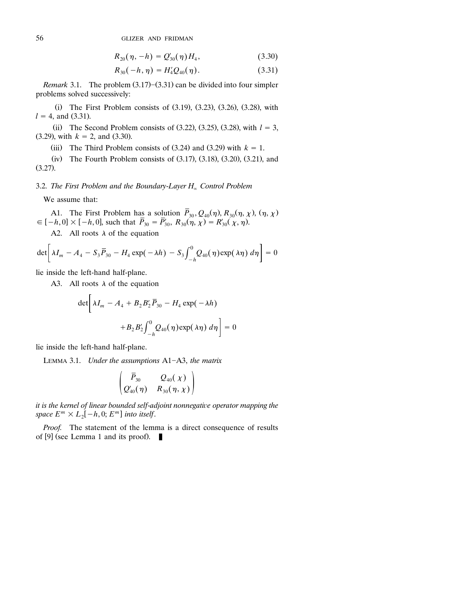$$
R_{20}(\eta, -h) = Q'_{30}(\eta) H_4, \qquad (3.30)
$$

$$
R_{30}(-h,\eta) = H_4'Q_{40}(\eta). \tag{3.31}
$$

*Remark* 3.1. The problem  $(3.17)$ – $(3.31)$  can be divided into four simpler problems solved successively:

(i) The First Problem consists of  $(3.19)$ ,  $(3.23)$ ,  $(3.26)$ ,  $(3.28)$ , with  $l = 4$ , and (3.31).

(ii) The Second Problem consists of  $(3.22)$ ,  $(3.25)$ ,  $(3.28)$ , with  $l = 3$ ,  $(3.29)$ , with  $k = 2$ , and  $(3.30)$ .

(iii) The Third Problem consists of  $(3.24)$  and  $(3.29)$  with  $k = 1$ .

(iv) The Fourth Problem consists of  $(3.17)$ ,  $(3.18)$ ,  $(3.20)$ ,  $(3.21)$ , and  $(3.27)$ .

3.2. *The First Problem and the Boundary-Layer H<sub>∞</sub> Control Problem* 

We assume that:

A1. The First Problem has a solution  $P_{30}$ ,  $Q_{40}(\eta)$ ,  $R_{30}(\eta, \chi)$ ,  $(\eta, \chi) \in [-h, 0] \times [-h, 0]$ , such that  $\bar{P}_{30} = \bar{P}'_{30}$ ,  $R_{30}(\eta, \chi) = R'_{30}(\chi, \eta)$ .

A2. All roots  $\lambda$  of the equation

$$
\det \left[ \lambda I_m - A_4 - S_3 \overline{P}_{30} - H_4 \exp(-\lambda h) - S_3 \int_{-h}^0 Q_{40}(\eta) \exp(\lambda \eta) d\eta \right] = 0
$$

lie inside the left-hand half-plane.

A3. All roots  $\lambda$  of the equation

$$
\det \left[ \lambda I_m - A_4 + B_2 B_2' \overline{P}_{30} - H_4 \exp(-\lambda h) + B_2 B_2' \int_{-h}^0 Q_{40}(\eta) \exp(\lambda \eta) d\eta \right] = 0
$$

lie inside the left-hand half-plane.

LEMMA 3.1. *Under the assumptions* A1-A3, *the matrix* 

$$
\begin{pmatrix}\bar{P}_{30}&Q_{40}(\chi)\\Q_{40}'(\eta)&R_{30}(\eta,\chi)\end{pmatrix}
$$

it is the kernel of linear bounded self-adjoint nonnegative operator mapping the *space*  $E^m \times L_2[-h, 0; E^m]$  into itself.

*Proof.* The statement of the lemma is a direct consequence of results of [9] (see Lemma 1 and its proof).  $\blacksquare$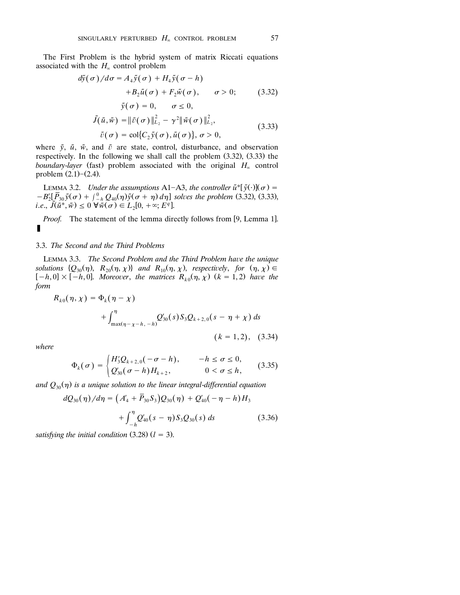The First Problem is the hybrid system of matrix Riccati equations associated with the  $H_{\infty}$  control problem

$$
d\tilde{y}(\sigma)/d\sigma = A_4 \tilde{y}(\sigma) + H_4 \tilde{y}(\sigma - h)
$$
  
+ 
$$
B_2 \tilde{u}(\sigma) + F_2 \tilde{w}(\sigma), \quad \sigma > 0;
$$
 (3.32)  

$$
\tilde{y}(\sigma) = 0, \quad \sigma \le 0,
$$
  

$$
\tilde{J}(\tilde{u}, \tilde{w}) = ||\tilde{v}(\sigma)||_{L_2}^2 - \gamma^2 ||\tilde{w}(\sigma)||_{L_2}^2,
$$
  

$$
\tilde{v}(\sigma) = \text{col}\{C_2 \tilde{y}(\sigma), \tilde{u}(\sigma)\}, \sigma > 0,
$$
 (3.33)

where  $\tilde{y}$ ,  $\tilde{u}$ ,  $\tilde{w}$ , and  $\tilde{v}$  are state, control, disturbance, and observation respectively. In the following we shall call the problem  $(3.32)$ ,  $(3.33)$  the *boundary-layer* (fast) problem associated with the original  $H_{\infty}$  control problem  $(2.1)$ – $(2.4)$ .

LEMMA 3.2. *Under the assumptions* A1-A3, *the controller*  $\tilde{u}^*[\tilde{y}(\cdot)](\sigma) =$  $-B'_2[\bar{P}_{30}\tilde{y}(\sigma)+\int_{-h}^{0}Q_{40}(\eta)\tilde{y}(\sigma+\eta)d\eta]$  solves the problem (3.32), (3.33), *i.e.*,  $\tilde{J}(\tilde{u}^*,\tilde{w}) \le 0$   $\forall \tilde{w}(\sigma) \in L_2[0,+\infty; E^q]$ . *i.e.*,  $\tilde{J}(\tilde{u}^*, \tilde{w}) \leq 0 \ \forall \tilde{w}(\sigma) \in L_2[0, +\infty; E^q].$ 

*Proof.* The statement of the lemma directly follows from [9, Lemma 1].  $\blacksquare$ 

### 3.3. *The Second and the Third Problems*

LEMMA 3.3. *The Second Problem and the Third Problem have the unique* solutions  $\{Q_{30}(\eta), R_{20}(\eta, \chi)\}\$  and  $R_{10}(\eta, \chi)$ , respectively, for  $(\eta, \chi) \in$  $[-h, 0] \times [-h, 0]$ . Moreover, the matrices  $R_{k0}(\eta, \chi)$  ( $k = 1, 2$ ) have the *form*

$$
R_{k0}(\eta, \chi) = \Phi_k(\eta - \chi)
$$
  
+  $\int_{\max(\eta - \chi - h, -h)}^{\eta} Q'_{30}(s) S_3 Q_{k+2,0}(s - \eta + \chi) ds$   
(k = 1, 2), (3.34)

*where*

$$
\Phi_k(\sigma) = \begin{cases} H'_3 Q_{k+2,0}(-\sigma - h), & -h \le \sigma \le 0, \\ Q'_{30}(\sigma - h) H_{k+2}, & 0 < \sigma \le h, \end{cases}
$$
(3.35)

and  $Q_{30}(\eta)$  is a unique solution to the linear integral-differential equation

$$
dQ_{30}(\eta)/d\eta = \left(A'_4 + \overline{P}_{30}S_3\right)Q_{30}(\eta) + Q'_{40}(-\eta - h)H_3 + \int_{-h}^{\eta} Q'_{40}(s - \eta)S_3Q_{30}(s) ds \tag{3.36}
$$

satisfying the initial condition  $(3.28)$   $(l = 3)$ .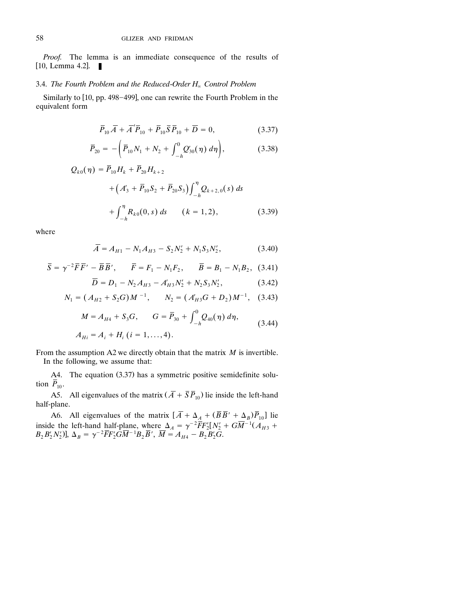*Proof.* The lemma is an immediate consequence of the results of  $[10,$  Lemma 4.2].

### 3.4. *The Fourth Problem and the Reduced-Order H<sub>n</sub> Control Problem*

Similarly to [10, pp. 498–499], one can rewrite the Fourth Problem in the equivalent form

$$
\overline{P}_{10}\overline{A} + \overline{A}'\overline{P}_{10} + \overline{P}_{10}\overline{S}\overline{P}_{10} + \overline{D} = 0, \qquad (3.37)
$$

$$
\overline{P}_{20} = -\left(\overline{P}_{10}N_1 + N_2 + \int_{-h}^{0} Q'_{30}(\eta) d\eta\right), \tag{3.38}
$$

$$
Q_{k0}(\eta) = \overline{P}_{10}H_k + \overline{P}_{20}H_{k+2}
$$
  
+  $(A'_3 + \overline{P}_{10}S_2 + \overline{P}_{20}S_3)\int_{-h}^{\eta} Q_{k+2,0}(s) ds$   
+  $\int_{-h}^{\eta} R_{k0}(0,s) ds$   $(k = 1,2),$  (3.39)

where

$$
\overline{A} = A_{H1} - N_1 A_{H3} - S_2 N_2' + N_1 S_3 N_2',
$$
\n(3.40)

$$
\overline{S} = \gamma^{-2} \overline{F} \overline{F'} - \overline{B} \overline{B'}, \qquad \overline{F} = F_1 - N_1 F_2, \qquad \overline{B} = B_1 - N_1 B_2, (3.41)
$$

$$
\overline{D} = D_1 - N_2 A_{H3} - A'_{H3} N'_2 + N_2 S_3 N'_2, \qquad (3.42)
$$

$$
N_1 = (A_{H2} + S_2 G)M^{-1}, \qquad N_2 = (A'_{H3}G + D_2)M^{-1}, \quad (3.43)
$$

$$
M = A_{H4} + S_3 G, \qquad G = \overline{P}_{30} + \int_{-h}^{0} Q_{40}(\eta) \, d\eta, \tag{3.44}
$$

$$
A_{Hi} = A_i + H_i \ (i = 1, ..., 4).
$$

From the assumption A2 we directly obtain that the matrix *M* is invertible. In the following, we assume that:

A4. The equation (3.37) has a symmetric positive semidefinite solution  $\overline{P}_{10}$ .

A5. All eigenvalues of the matrix  $(\overline{A} + \overline{S} \overline{P}_{10})$  lie inside the left-hand half-plane.

A6. All eigenvalues of the matrix  $\left[ \overline{A} + \Delta_A + (\overline{B} \overline{B}' + \Delta_B) \overline{P}_{10} \right]$  lie inside the left-hand half-plane, where  $\Delta_A = \gamma^{-2} \overline{F} F_2' [N_2' + G \overline{M}^{-1} (A_{H3} + B_2 B_2' N_2')]$ ,  $\Delta_B = \gamma^{-2} \overline{F} F_2' G \overline{M}^{-1} B_2 \overline{B}'$ ,  $\overline{M} = A_{H4} - B_2 B_2' G$ .  $\sum_{i=1}^{n} B'_{i} N'_{i}$ )],  $\Delta_{B} = \gamma^{-2} \overline{F} F'_{i} \overline{G} \overline{M}^{-1} B_{2} \overline{B}'$ ,  $\overline{M} = A_{H4} - B_{2} B'_{2} \overline{G}$ .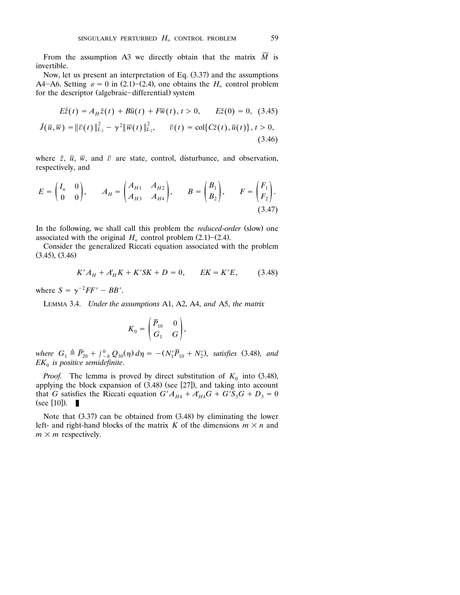From the assumption A3 we directly obtain that the matrix  $\overline{M}$  is invertible.

Now, let us present an interpretation of Eq.  $(3.37)$  and the assumptions A4-A6. Setting  $\varepsilon = 0$  in (2.1)-(2.4), one obtains the  $H_{\infty}$  control problem for the descriptor (algebraic-differential) system

$$
E\dot{\bar{z}}(t) = A_H \bar{z}(t) + B\bar{u}(t) + F\bar{w}(t), t > 0, \qquad E\bar{z}(0) = 0, \tag{3.45}
$$
  

$$
\bar{J}(\bar{u}, \bar{w}) = ||\bar{v}(t)||_{L_2}^2 - \gamma^2 ||\bar{w}(t)||_{L_2}^2, \qquad \bar{v}(t) = \text{col}\{C\bar{z}(t), \bar{u}(t)\}, t > 0,
$$
  

$$
(3.46)
$$

where  $\bar{z}$ ,  $\bar{u}$ ,  $\bar{w}$ , and  $\bar{v}$  are state, control, disturbance, and observation, respectively, and

$$
E = \begin{pmatrix} I_n & 0 \\ 0 & 0 \end{pmatrix}, \qquad A_H = \begin{pmatrix} A_{H1} & A_{H2} \\ A_{H3} & A_{H4} \end{pmatrix}, \qquad B = \begin{pmatrix} B_1 \\ B_2 \end{pmatrix}, \qquad F = \begin{pmatrix} F_1 \\ F_2 \end{pmatrix}.
$$
\n
$$
(3.47)
$$

In the following, we shall call this problem the *reduced-order* (slow) one associated with the original  $H_{\infty}$  control problem (2.1)–(2.4).

 Consider the generalized Riccati equation associated with the problem  $(3.45), (3.46)$ 

$$
K'A_{H} + A'_{H}K + K'SK + D = 0, \qquad EK = K'E, \qquad (3.48)
$$

where  $S = \gamma^{-2} FF' - BB'$ .

LEMMA 3.4. *Under the assumptions* A1, A2, A4, *and* A5, *the matrix*

$$
K_0 = \begin{pmatrix} \overline{P}_{10} & 0 \\ G_1 & G \end{pmatrix},
$$

 $\nu$ here  $G_1 \triangleq \overline{P}_{20}' + \int_{-h}^{0} Q_{30}(\eta) d\eta = -(N'_1 \overline{P}_{10} + N'_2)$ , satisfies (3.48), and  $EK_0$  is positive semidefinite.

*Proof.* The lemma is proved by direct substitution of  $K_0$  into (3.48), applying the block expansion of  $(3.48)$  (see  $[27]$ ), and taking into account that *G* satisfies the Riccati equation  $G'A_{H4} + A'_{H4}G + G'S_3G + D_3 = 0$  $(see [10]).$ П

Note that  $(3.37)$  can be obtained from  $(3.48)$  by eliminating the lower left- and right-hand blocks of the matrix *K* of the dimensions  $m \times n$  and  $m \times m$  respectively.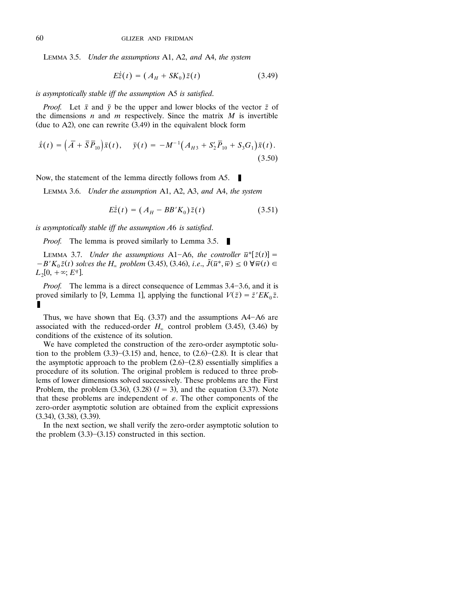LEMMA 3.5. *Under the assumptions* A1, A2, *and* A4, *the system*

$$
E\dot{\bar{z}}(t) = (A_H + SK_0)\bar{z}(t)
$$
 (3.49)

*is asymptotically stable iff the assumption* A5 *is satisfied*.

*Proof.* Let  $\bar{x}$  and  $\bar{y}$  be the upper and lower blocks of the vector  $\bar{z}$  of the dimensions  $n$  and  $m$  respectively. Since the matrix  $M$  is invertible (due to A2), one can rewrite  $(3.49)$  in the equivalent block form

$$
\dot{\bar{x}}(t) = (\bar{A} + \bar{S}\bar{P}_{10})\bar{x}(t), \quad \bar{y}(t) = -M^{-1}(A_{H3} + S_2'\bar{P}_{10} + S_3G_1)\bar{x}(t).
$$
\n(3.50)

Now, the statement of the lemma directly follows from A5.

LEMMA 3.6. *Under the assumption* A1, A2, A3, *and* A4, *the system*

$$
E\dot{\bar{z}}(t) = (A_H - BB'K_0)\bar{z}(t)
$$
\n(3.51)

*is asymptotically stable iff the assumption A*6 *is satisfied*.

*Proof.* The lemma is proved similarly to Lemma 3.5. п

LEMMA 3.7. *Under the assumptions* A1-A6, *the controller*  $\bar{u}^*[\bar{z}(t)] =$  $-B'K_0\bar{z}(t)$  solves the  $H_\infty$  problem (3.45), (3.46), *i.e.*,  $\bar{J}(\bar{u}^*,\bar{w}) \leq 0 \ \forall \bar{w}(t) \in$  $L_2[0, +\infty; E^q]$ .

*Proof.* The lemma is a direct consequence of Lemmas 3.4–3.6, and it is proved similarly to [9, Lemma 1], applying the functional  $V(\bar{z}) = \bar{z}' E K_0 \bar{z}$ . П

Thus, we have shown that Eq.  $(3.37)$  and the assumptions A4-A6 are associated with the reduced-order  $H_{\infty}$  control problem (3.45), (3.46) by conditions of the existence of its solution.

We have completed the construction of the zero-order asymptotic solution to the problem  $(3.3)$ – $(3.15)$  and, hence, to  $(2.6)$ – $(2.8)$ . It is clear that the asymptotic approach to the problem  $(2.6)$ – $(2.8)$  essentially simplifies a procedure of its solution. The original problem is reduced to three problems of lower dimensions solved successively. These problems are the First Problem, the problem  $(3.36)$ ,  $(3.28)$   $(l = 3)$ , and the equation  $(3.37)$ . Note that these problems are independent of  $\varepsilon$ . The other components of the zero-order asymptotic solution are obtained from the explicit expressions  $(3.34)$ ,  $(3.38)$ ,  $(3.39)$ .

In the next section, we shall verify the zero-order asymptotic solution to the problem  $(3.3)$ – $(3.15)$  constructed in this section.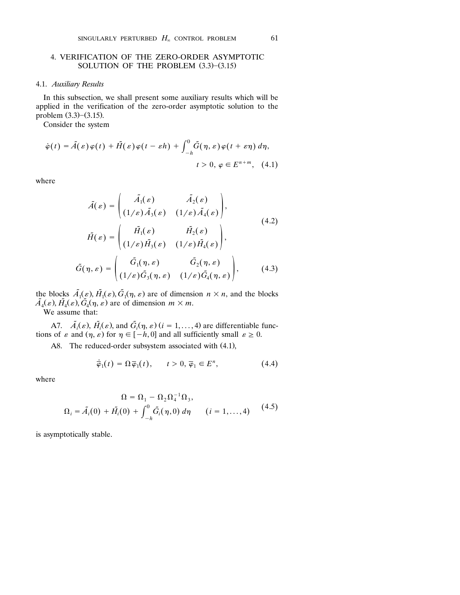### 4. VERIFICATION OF THE ZERO-ORDER ASYMPTOTIC SOLUTION OF THE PROBLEM  $(3.3)$ - $(3.15)$

### 4.1. *Auxiliary Results*

In this subsection, we shall present some auxiliary results which will be applied in the verification of the zero-order asymptotic solution to the problem  $(3.3)$ – $(3.15)$ .

Consider the system

$$
\dot{\varphi}(t) = \tilde{A}(\varepsilon)\varphi(t) + \tilde{H}(\varepsilon)\varphi(t - \varepsilon h) + \int_{-h}^{0} \tilde{G}(\eta, \varepsilon)\varphi(t + \varepsilon \eta) d\eta,
$$
  

$$
t > 0, \varphi \in E^{n+m}, \quad (4.1)
$$

where

$$
\tilde{A}(\varepsilon) = \begin{pmatrix} \tilde{A}_1(\varepsilon) & \tilde{A}_2(\varepsilon) \\ (1/\varepsilon)\tilde{A}_3(\varepsilon) & (1/\varepsilon)\tilde{A}_4(\varepsilon) \end{pmatrix},
$$
\n
$$
\tilde{H}(\varepsilon) = \begin{pmatrix} \tilde{H}_1(\varepsilon) & \tilde{H}_2(\varepsilon) \\ (1/\varepsilon)\tilde{H}_3(\varepsilon) & (1/\varepsilon)\tilde{H}_4(\varepsilon) \end{pmatrix},
$$
\n
$$
\tilde{G}(\eta, \varepsilon) = \begin{pmatrix} \tilde{G}_1(\eta, \varepsilon) & \tilde{G}_2(\eta, \varepsilon) \\ (1/\varepsilon)\tilde{G}_3(\eta, \varepsilon) & (1/\varepsilon)\tilde{G}_4(\eta, \varepsilon) \end{pmatrix},
$$
\n(4.3)

the blocks  $\tilde{A}_1(\varepsilon), \tilde{H}_1(\varepsilon), \tilde{G}_1(\eta, \varepsilon)$  are of dimension  $n \times n$ , and the blocks  $\tilde{A}_4(\varepsilon), \tilde{H}_4(\varepsilon), \tilde{G}_4(\eta, \varepsilon)$  are of dimension  $m \times m$ . We assume that:

A7.  $\tilde{A}_i(\varepsilon)$ ,  $\tilde{H}_i(\varepsilon)$ , and  $\tilde{G}_i(\eta, \varepsilon)$  (*i* = 1, ..., 4) are differentiable functions of  $\varepsilon$  and  $(n, \varepsilon)$  for  $n \in [-h, 0]$  and all sufficiently small  $\varepsilon \ge 0$ .

A8. The reduced-order subsystem associated with (4.1),

$$
\dot{\overline{\varphi}}_1(t) = \Omega \overline{\varphi}_1(t), \qquad t > 0, \overline{\varphi}_1 \in E^n,
$$
\n(4.4)

where

$$
\Omega = \Omega_1 - \Omega_2 \Omega_4^{-1} \Omega_3, \n\Omega_i = \tilde{A}_i(0) + \tilde{H}_i(0) + \int_{-h}^{0} \tilde{G}_i(\eta, 0) d\eta \qquad (i = 1, ..., 4)
$$
\n(4.5)

is asymptotically stable.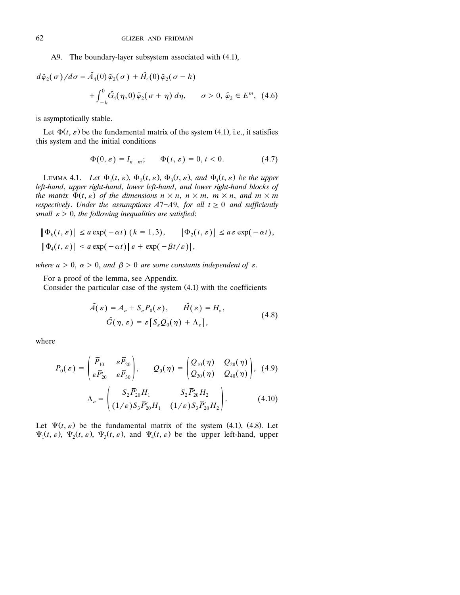### A9. The boundary-layer subsystem associated with (4.1),

$$
d\tilde{\varphi}_2(\sigma)/d\sigma = \tilde{A}_4(0)\tilde{\varphi}_2(\sigma) + \tilde{H}_4(0)\tilde{\varphi}_2(\sigma - h)
$$
  
+ 
$$
\int_{-h}^{0} \tilde{G}_4(\eta, 0)\tilde{\varphi}_2(\sigma + \eta) d\eta, \qquad \sigma > 0, \tilde{\varphi}_2 \in E^m, (4.6)
$$

is asymptotically stable.

Let  $\Phi(t, \varepsilon)$  be the fundamental matrix of the system (4.1), i.e., it satisfies this system and the initial conditions

$$
\Phi(0,\varepsilon) = I_{n+m}; \qquad \Phi(t,\varepsilon) = 0, t < 0. \tag{4.7}
$$

LEMMA 4.1. *Let*  $\Phi_1(t, \varepsilon), \Phi_2(t, \varepsilon), \Phi_3(t, \varepsilon),$  and  $\Phi_4(t, \varepsilon)$  be the upper *left*-*hand*, *upper right*-*hand*, *lower left*-*hand*, *and lower right*-*hand blocks of the matrix*  $\Phi(t, \varepsilon)$  *of the dimensions*  $n \times n$ ,  $n \times m$ ,  $m \times n$ , and  $m \times m$ *respectively. Under the assumptions A*7-A9, *for all t*  $\geq$  0 *and sufficiently small*  $\varepsilon > 0$ *, the following inequalities are satisfied:* 

$$
\|\Phi_k(t,\varepsilon)\| \le a \exp(-\alpha t) \ (k = 1,3), \quad \|\Phi_2(t,\varepsilon)\| \le a \varepsilon \exp(-\alpha t),
$$
  

$$
\|\Phi_4(t,\varepsilon)\| \le a \exp(-\alpha t) [\varepsilon + \exp(-\beta t/\varepsilon)],
$$

*where*  $a > 0$ *,*  $\alpha > 0$ *, and*  $\beta > 0$  *are some constants independent of*  $\varepsilon$ *.* 

For a proof of the lemma, see Appendix.

Consider the particular case of the system  $(4.1)$  with the coefficients

$$
\tilde{A}(\varepsilon) = A_{\varepsilon} + S_{\varepsilon} P_0(\varepsilon), \qquad \tilde{H}(\varepsilon) = H_{\varepsilon},
$$
  

$$
\tilde{G}(\eta, \varepsilon) = \varepsilon [S_{\varepsilon} Q_0(\eta) + \Lambda_{\varepsilon}],
$$
\n(4.8)

where

$$
P_0(\varepsilon) = \begin{pmatrix} \bar{P}_{10} & \varepsilon \bar{P}_{20} \\ \varepsilon \bar{P}_{20}' & \varepsilon \bar{P}_{30} \end{pmatrix}, \qquad Q_0(\eta) = \begin{pmatrix} Q_{10}(\eta) & Q_{20}(\eta) \\ Q_{30}(\eta) & Q_{40}(\eta) \end{pmatrix}, (4.9)
$$

$$
\Lambda_{\varepsilon} = \begin{pmatrix} S_2 \bar{P}_{20}' H_1 & S_2 \bar{P}_{20}' H_2 \\ (1/\varepsilon) S_3 \bar{P}_{20}' H_1 & (1/\varepsilon) S_3 \bar{P}_{20}' H_2 \end{pmatrix}. \qquad (4.10)
$$

Let  $\Psi(t, \varepsilon)$  be the fundamental matrix of the system (4.1), (4.8). Let  $\Psi_1(t, \varepsilon)$ ,  $\Psi_2(t, \varepsilon)$ ,  $\Psi_3(t, \varepsilon)$ , and  $\Psi_4(t, \varepsilon)$  be the upper left-hand, upper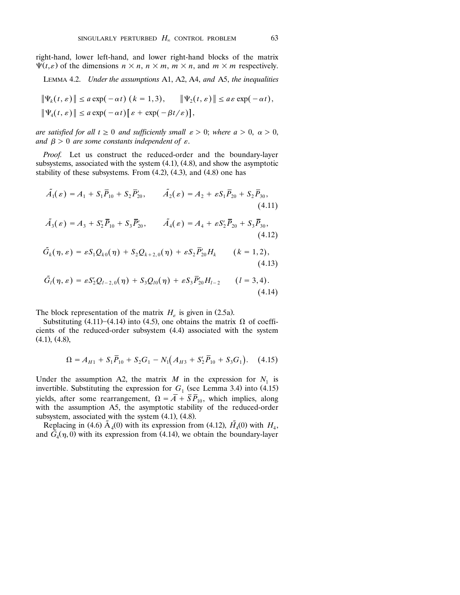right-hand, lower left-hand, and lower right-hand blocks of the matrix  $\Psi(t,\varepsilon)$  of the dimensions  $n \times n$ ,  $n \times m$ ,  $m \times n$ , and  $m \times m$  respectively.

LEMMA 4.2. *Under the assumptions* A1, A2, A4, *and* A5, *the inequalities*

$$
\|\Psi_k(t,\varepsilon)\| \le a \exp(-\alpha t) \ (k=1,3), \quad \|\Psi_2(t,\varepsilon)\| \le a \varepsilon \exp(-\alpha t),
$$
  

$$
\|\Psi_4(t,\varepsilon)\| \le a \exp(-\alpha t) [\varepsilon + \exp(-\beta t/\varepsilon)],
$$

*are satisfied for all*  $t \ge 0$  *and sufficiently small*  $\varepsilon > 0$ ; *where*  $a > 0$ *,*  $\alpha > 0$ , and  $\beta > 0$  are some constants independent of  $\varepsilon$ .

*Proof.* Let us construct the reduced-order and the boundary-layer subsystems, associated with the system  $(4.1)$ ,  $(4.8)$ , and show the asymptotic stability of these subsystems. From  $(4.2)$ ,  $(4.3)$ , and  $(4.8)$  one has

$$
\tilde{A}_1(\varepsilon) = A_1 + S_1 \overline{P}_{10} + S_2 \overline{P}_{20}, \qquad \tilde{A}_2(\varepsilon) = A_2 + \varepsilon S_1 \overline{P}_{20} + S_2 \overline{P}_{30},
$$
\n(4.11)

$$
\tilde{A}_3(\varepsilon) = A_3 + S_2' \overline{P}_{10} + S_3 \overline{P}_{20}', \qquad \tilde{A}_4(\varepsilon) = A_4 + \varepsilon S_2' \overline{P}_{20} + S_3 \overline{P}_{30},
$$
\n(4.12)

$$
\tilde{G}_k(\eta, \varepsilon) = \varepsilon S_1 Q_{k0}(\eta) + S_2 Q_{k+2,0}(\eta) + \varepsilon S_2 \bar{P}'_{20} H_k \qquad (k = 1, 2),
$$
\n(4.13)

$$
\tilde{G}_l(\eta,\varepsilon) = \varepsilon S_2' Q_{l-2,0}(\eta) + S_3 Q_{l0}(\eta) + \varepsilon S_3 \bar{P}_{20}' H_{l-2} \qquad (l = 3, 4).
$$
\n(4.14)

The block representation of the matrix  $H<sub>\epsilon</sub>$  is given in (2.5a).

Substituting (4.11)–(4.14) into (4.5), one obtains the matrix  $\Omega$  of coefficients of the reduced-order subsystem (4.4) associated with the system  $(4.1)$ ,  $(4.8)$ ,

$$
\Omega = A_{H1} + S_1 \overline{P}_{10} + S_2 G_1 - N_1 (A_{H3} + S_2' \overline{P}_{10} + S_3 G_1). \tag{4.15}
$$

Under the assumption A2, the matrix  $M$  in the expression for  $N_1$  is invertible. Substituting the expression for  $G_1$  (see Lemma 3.4) into (4.15) yields, after some rearrangement,  $\Omega = \overline{A} + \overline{S} \overline{P}_{10}$ , which implies, along with the assumption A5, the asymptotic stability of the reduced-order subsystem, associated with the system  $(4.1)$ ,  $(4.8)$ .

Replacing in (4.6)  $\tilde{A}_4(0)$  with its expression from (4.12),  $\tilde{H}_4(0)$  with  $H_4$ , and  $\tilde{G}_4(\eta,0)$  with its expression from (4.14), we obtain the boundary-layer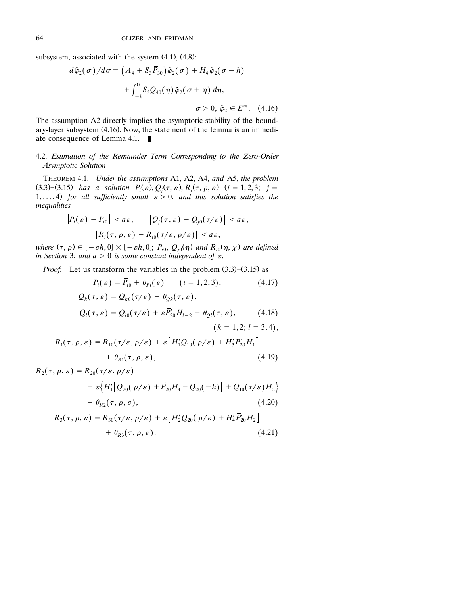subsystem, associated with the system  $(4.1)$ ,  $(4.8)$ :

$$
d\tilde{\varphi}_2(\sigma)/d\sigma = \left(A_4 + S_3 \overline{P}_{30}\right)\tilde{\varphi}_2(\sigma) + H_4 \tilde{\varphi}_2(\sigma - h)
$$

$$
+ \int_{-h}^{0} S_3 Q_{40}(\eta) \tilde{\varphi}_2(\sigma + \eta) d\eta,
$$

$$
\sigma > 0, \tilde{\varphi}_2 \in E^m. \quad (4.16)
$$

The assumption A2 directly implies the asymptotic stability of the boundary-layer subsystem  $(4.16)$ . Now, the statement of the lemma is an immediate consequence of Lemma 4.1.

## 4.2. *Estimation of the Remainder Term Corresponding to the Zero*-*Order Asymptotic Solution*

THEOREM 4.1. *Under the assumptions* A1, A2, A4, *and* A5, *the problem*  $Z_i$  (3.3) - (3.15) *has a solution*  $P_i(\varepsilon), Q_j(\tau, \varepsilon), R_i(\tau, \rho, \varepsilon)$  *(* $i = 1, 2, 3; j = 1$ *)* 1,..., 4) for all sufficiently small  $\varepsilon > 0$ , and this solution satisfies the *inequalities*

$$
||P_i(\varepsilon) - \overline{P}_{i0}|| \le a\varepsilon, \qquad ||Q_j(\tau, \varepsilon) - Q_{j0}(\tau/\varepsilon)|| \le a\varepsilon,
$$
  

$$
||R_i(\tau, \rho, \varepsilon) - R_{i0}(\tau/\varepsilon, \rho/\varepsilon)|| \le a\varepsilon,
$$

where  $(\tau, \rho) \in [-\varepsilon h, 0] \times [-\varepsilon h, 0]$ ;  $\overline{P}_{i0}, Q_{j0}(\eta)$  and  $R_{i0}(\eta, \chi)$  are defined *in Section 3; and*  $a > 0$  *is some constant independent of*  $\varepsilon$ *.* 

*Proof.* Let us transform the variables in the problem  $(3.3)$ – $(3.15)$  as

$$
P_i(\varepsilon) = \bar{P}_{i0} + \theta_{Pi}(\varepsilon) \qquad (i = 1, 2, 3), \qquad (4.17)
$$
  
\n
$$
Q_k(\tau, \varepsilon) = Q_{k0}(\tau/\varepsilon) + \theta_{Qk}(\tau, \varepsilon),
$$
  
\n
$$
Q_l(\tau, \varepsilon) = Q_{l0}(\tau/\varepsilon) + \varepsilon \bar{P}_{20}' H_{l-2} + \theta_{Ql}(\tau, \varepsilon), \qquad (4.18)
$$
  
\n
$$
(k = 1, 2; l = 3, 4),
$$

$$
R_1(\tau, \rho, \varepsilon) = R_{10}(\tau/\varepsilon, \rho/\varepsilon) + \varepsilon \Big[ H_1' Q_{10}(\rho/\varepsilon) + H_3' \overline{P}_{20}' H_1 \Big] + \theta_{R1}(\tau, \rho, \varepsilon),
$$
\n(4.19)

$$
R_{2}(\tau, \rho, \varepsilon) = R_{20}(\tau/\varepsilon, \rho/\varepsilon)
$$
  
+  $\varepsilon \Big\{ H'_{1} [Q_{20}(\rho/\varepsilon) + \overline{P}_{20} H_{4} - Q_{20}(-h)] + Q'_{10}(\tau/\varepsilon) H_{2} \Big\}$   
+  $\theta_{R2}(\tau, \rho, \varepsilon),$   

$$
R_{3}(\tau, \rho, \varepsilon) = R_{30}(\tau/\varepsilon, \rho/\varepsilon) + \varepsilon [H'_{2} Q_{20}(\rho/\varepsilon) + H'_{4} \overline{P}'_{20} H_{2}]
$$
  
(4.20)

$$
+ \theta_{R3}(\tau, \rho, \varepsilon). \tag{4.21}
$$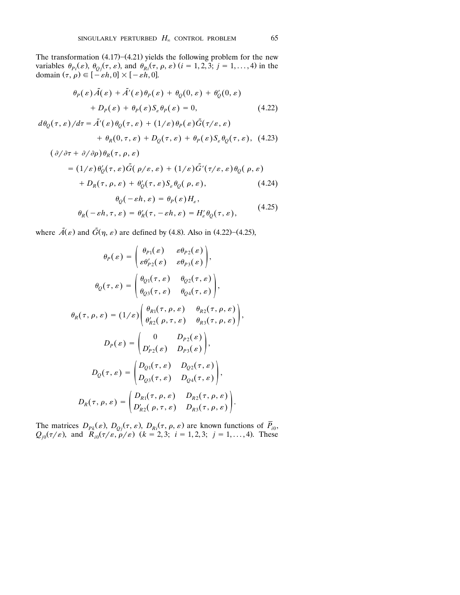The transformation  $(4.17)$ – $(4.21)$  yields the following problem for the new variables  $\theta_{pi}(\varepsilon)$ ,  $\theta_{Qj}(\tau, \varepsilon)$ , and  $\theta_{Ri}(\tau, \rho, \varepsilon)$  (*i* = 1, 2, 3; *j* = 1, ..., 4) in the domain  $(\tau, \rho) \in [-\varepsilon h, 0] \times [-\varepsilon h, 0]$ .

$$
\theta_P(\varepsilon)\tilde{A}(\varepsilon) + \tilde{A}'(\varepsilon)\theta_P(\varepsilon) + \theta_Q(0,\varepsilon) + \theta'_Q(0,\varepsilon)
$$
  
+  $D_P(\varepsilon) + \theta_P(\varepsilon)S_\varepsilon\theta_P(\varepsilon) = 0,$  (4.22)

$$
d\theta_{Q}(\tau,\varepsilon)/d\tau = \tilde{A}'(\varepsilon)\theta_{Q}(\tau,\varepsilon) + (1/\varepsilon)\theta_{P}(\varepsilon)\tilde{G}(\tau/\varepsilon,\varepsilon) + \theta_{R}(0,\tau,\varepsilon) + D_{Q}(\tau,\varepsilon) + \theta_{P}(\varepsilon)S_{\varepsilon}\theta_{Q}(\tau,\varepsilon),
$$
(4.23)

$$
(\partial/\partial \tau + \partial/\partial \rho)\theta_R(\tau, \rho, \varepsilon)
$$
  
\n
$$
= (1/\varepsilon)\theta'_Q(\tau, \varepsilon)\tilde{G}(\rho/\varepsilon, \varepsilon) + (1/\varepsilon)\tilde{G}'(\tau/\varepsilon, \varepsilon)\theta_Q(\rho, \varepsilon)
$$
  
\n
$$
+ D_R(\tau, \rho, \varepsilon) + \theta'_Q(\tau, \varepsilon)S_{\varepsilon}\theta_Q(\rho, \varepsilon),
$$
  
\n
$$
\theta_Q(-\varepsilon h, \varepsilon) = \theta_P(\varepsilon)H_{\varepsilon},
$$
  
\n
$$
\theta_R(-\varepsilon h, \tau, \varepsilon) = \theta'_R(\tau, -\varepsilon h, \varepsilon) = H'_{\varepsilon}\theta_Q(\tau, \varepsilon),
$$
\n(4.25)

where  $\tilde{A}(\varepsilon)$  and  $\tilde{G}(\eta, \varepsilon)$  are defined by (4.8). Also in (4.22)–(4.25),

$$
\theta_P(\varepsilon) = \begin{pmatrix} \theta_{P1}(\varepsilon) & \varepsilon \theta_{P2}(\varepsilon) \\ \varepsilon \theta'_{P2}(\varepsilon) & \varepsilon \theta_{P3}(\varepsilon) \end{pmatrix},
$$

$$
\theta_Q(\tau, \varepsilon) = \begin{pmatrix} \theta_{Q1}(\tau, \varepsilon) & \theta_{Q2}(\tau, \varepsilon) \\ \theta_{Q3}(\tau, \varepsilon) & \theta_{Q4}(\tau, \varepsilon) \end{pmatrix},
$$

$$
\theta_R(\tau, \rho, \varepsilon) = (1/\varepsilon) \begin{pmatrix} \theta_{R1}(\tau, \rho, \varepsilon) & \theta_{R2}(\tau, \rho, \varepsilon) \\ \theta'_{R2}(\rho, \tau, \varepsilon) & \theta_{R3}(\tau, \rho, \varepsilon) \end{pmatrix},
$$

$$
D_P(\varepsilon) = \begin{pmatrix} 0 & D_{P2}(\varepsilon) \\ D'_{P2}(\varepsilon) & D_{P3}(\varepsilon) \end{pmatrix},
$$

$$
D_Q(\tau, \varepsilon) = \begin{pmatrix} D_{Q1}(\tau, \varepsilon) & D_{Q2}(\tau, \varepsilon) \\ D_{Q3}(\tau, \varepsilon) & D_{Q4}(\tau, \varepsilon) \end{pmatrix},
$$

$$
D_R(\tau, \rho, \varepsilon) = \begin{pmatrix} D_{R1}(\tau, \rho, \varepsilon) & D_{R2}(\tau, \rho, \varepsilon) \\ D'_{R2}(\rho, \tau, \varepsilon) & D_{R3}(\tau, \rho, \varepsilon) \end{pmatrix}.
$$

The matrices  $D_{Pk}(\varepsilon)$ ,  $D_{Qj}(\tau, \varepsilon)$ ,  $D_{Ri}(\tau, \rho, \varepsilon)$  are known functions of  $P_{i0}$ ,  $Q_{j0}(\tau/\varepsilon)$ , and  $R_{i0}(\tau/\varepsilon, \rho/\varepsilon)$   $(k = 2, 3; i = 1, 2, 3; j = 1, ..., 4)$ . These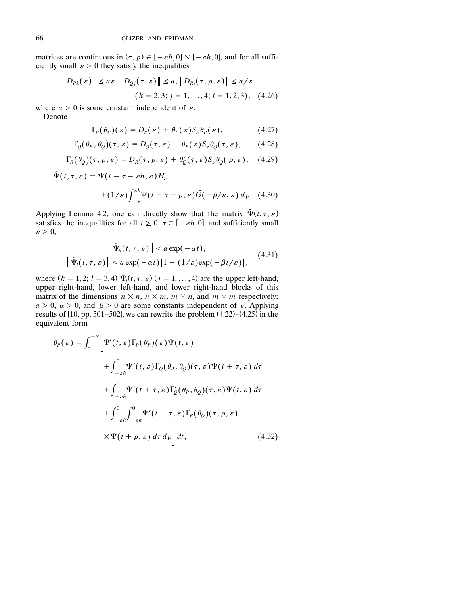matrices are continuous in  $(\tau, \rho) \in [-\varepsilon h, 0] \times [-\varepsilon h, 0]$ , and for all sufficiently small  $\varepsilon > 0$  they satisfy the inequalities

$$
||D_{Pk}(\varepsilon)|| \le a\varepsilon, ||D_{Qj}(\tau, \varepsilon)|| \le a, ||D_{Ri}(\tau, \rho, \varepsilon)|| \le a/\varepsilon
$$
  

$$
(k = 2, 3; j = 1, ..., 4; i = 1, 2, 3), \quad (4.26)
$$

where  $a > 0$  is some constant independent of  $\varepsilon$ .

Denote

$$
\Gamma_p(\theta_P)(\varepsilon) = D_p(\varepsilon) + \theta_p(\varepsilon) S_{\varepsilon} \theta_P(\varepsilon), \qquad (4.27)
$$

$$
\Gamma_Q(\theta_P, \theta_Q)(\tau, \varepsilon) = D_Q(\tau, \varepsilon) + \theta_P(\varepsilon) S_\varepsilon \theta_Q(\tau, \varepsilon), \qquad (4.28)
$$

$$
\Gamma_R(\theta_Q)(\tau,\rho,\varepsilon) = D_R(\tau,\rho,\varepsilon) + \theta'_Q(\tau,\varepsilon) S_{\varepsilon} \theta_Q(\rho,\varepsilon), \quad (4.29)
$$

$$
\tilde{\Psi}(t,\tau,\varepsilon) = \Psi(t-\tau-\varepsilon h,\varepsilon)H_{\varepsilon}
$$

$$
+(1/\varepsilon)\int_{-\tau}^{\varepsilon h} \Psi(t-\tau-\rho,\varepsilon)\tilde{G}(-\rho/\varepsilon,\varepsilon)\,d\rho. \tag{4.30}
$$

Applying Lemma 4.2, one can directly show that the matrix  $\tilde{\Psi}(t, \tau, \varepsilon)$ satisfies the inequalities for all  $t \geq 0$ ,  $\tau \in [-\varepsilon h, 0]$ , and sufficiently small  $\varepsilon > 0$ ,

$$
\|\tilde{\Psi}_k(t,\tau,\varepsilon)\| \le a \exp(-\alpha t),
$$
  

$$
\|\tilde{\Psi}_l(t,\tau,\varepsilon)\| \le a \exp(-\alpha t)[1 + (1/\varepsilon)\exp(-\beta t/\varepsilon)],
$$
 (4.31)

where  $(k = 1, 2; l = 3, 4) \tilde{\Psi}_j(t, \tau, \varepsilon)$   $(j = 1, ..., 4)$  are the upper left-hand, upper right-hand, lower left-hand, and lower right-hand blocks of this matrix of the dimensions  $n \times n$ ,  $n \times m$ ,  $m \times n$ , and  $m \times m$  respectively;  $a > 0$ ,  $\alpha > 0$ , and  $\beta > 0$  are some constants independent of  $\varepsilon$ . Applying results of  $[10, pp. 501 - 502]$ , we can rewrite the problem  $(4.22) - (4.25)$  in the equivalent form

$$
\theta_P(\varepsilon) = \int_0^{+\infty} \left[ \Psi'(t,\varepsilon) \Gamma_P(\theta_P)(\varepsilon) \Psi(t,\varepsilon) \right. \\
\left. + \int_{-\varepsilon h}^0 \Psi'(t,\varepsilon) \Gamma_Q(\theta_P,\theta_Q)(\tau,\varepsilon) \Psi(t+\tau,\varepsilon) d\tau \right. \\
\left. + \int_{-\varepsilon h}^0 \Psi'(t+\tau,\varepsilon) \Gamma'_Q(\theta_P,\theta_Q)(\tau,\varepsilon) \Psi(t,\varepsilon) d\tau \right. \\
\left. + \int_{-\varepsilon h}^0 \int_{-\varepsilon h}^0 \Psi'(t+\tau,\varepsilon) \Gamma_R(\theta_Q)(\tau,\rho,\varepsilon) \right. \\
\left. \times \Psi(t+\rho,\varepsilon) d\tau d\rho \right] dt,
$$
\n(4.32)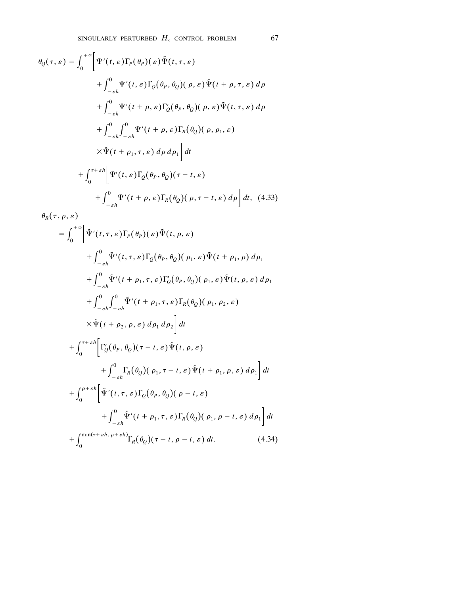$$
\theta_Q(\tau, \varepsilon) = \int_0^{+\infty} \left[ \Psi'(t, \varepsilon) \Gamma_P(\theta_P)(\varepsilon) \tilde{\Psi}(t, \tau, \varepsilon) \right. \\
\left. + \int_{-\varepsilon h}^0 \Psi'(t, \varepsilon) \Gamma_Q(\theta_P, \theta_Q)(\rho, \varepsilon) \tilde{\Psi}(t + \rho, \tau, \varepsilon) d\rho \right. \\
\left. + \int_{-\varepsilon h}^0 \Psi'(t + \rho, \varepsilon) \Gamma'_Q(\theta_P, \theta_Q)(\rho, \varepsilon) \tilde{\Psi}(t, \tau, \varepsilon) d\rho \right. \\
\left. + \int_{-\varepsilon h}^0 \Psi'(t + \rho, \varepsilon) \Gamma_R(\theta_Q)(\rho, \rho_1, \varepsilon) \right. \\
\left. \times \tilde{\Psi}(t + \rho_1, \tau, \varepsilon) d\rho d\rho_1 \right] dt \\
\left. + \int_0^{\tau + \varepsilon h} \left[ \Psi'(t, \varepsilon) \Gamma_Q(\theta_P, \theta_Q)(\tau - t, \varepsilon) \right. \\
\left. + \int_{-\varepsilon h}^0 \Psi'(t + \rho, \varepsilon) \Gamma_R(\theta_Q)(\rho, \tau - t, \varepsilon) d\rho \right] dt, \tag{4.33}
$$

$$
\theta_R(\tau, \rho, \varepsilon)
$$
\n
$$
= \int_0^{+\infty} \left[ \tilde{\Psi}'(t, \tau, \varepsilon) \Gamma_P(\theta_P)(\varepsilon) \tilde{\Psi}(t, \rho, \varepsilon) \right. \\
\left. + \int_{-\varepsilon h}^0 \tilde{\Psi}'(t, \tau, \varepsilon) \Gamma_Q(\theta_P, \theta_Q)(\rho_1, \varepsilon) \tilde{\Psi}(t + \rho_1, \rho) d\rho_1 \right. \\
\left. + \int_{-\varepsilon h}^0 \tilde{\Psi}'(t + \rho_1, \tau, \varepsilon) \Gamma'_Q(\theta_P, \theta_Q)(\rho_1, \varepsilon) \tilde{\Psi}(t, \rho, \varepsilon) d\rho_1 \right. \\
\left. + \int_{-\varepsilon h}^0 \int_{-\varepsilon h}^0 \tilde{\Psi}'(t + \rho_1, \tau, \varepsilon) \Gamma_R(\theta_Q)(\rho_1, \rho_2, \varepsilon) \right. \\
\left. \times \tilde{\Psi}(t + \rho_2, \rho, \varepsilon) d\rho_1 d\rho_2 \right] dt \\
\left. + \int_0^{\tau + \varepsilon h} \left[ \Gamma'_Q(\theta_P, \theta_Q)(\tau - t, \varepsilon) \tilde{\Psi}(t, \rho, \varepsilon) \right. \\
\left. + \int_0^{\tau + \varepsilon h} \left[ \Gamma'_Q(\theta_P, \theta_Q)(\rho_1, \tau - t, \varepsilon) \tilde{\Psi}(t + \rho_1, \rho, \varepsilon) d\rho_1 \right] dt \right. \\
\left. + \int_0^{\rho + \varepsilon h} \left[ \tilde{\Psi}'(t, \tau, \varepsilon) \Gamma_Q(\theta_P, \theta_Q)(\rho - t, \varepsilon) \right. \\
\left. + \int_0^0 \tilde{\Psi}'(t + \rho_1, \tau, \varepsilon) \Gamma_R(\theta_Q)(\rho_1, \rho - t, \varepsilon) d\rho_1 \right] dt \right. \\
\left. + \int_0^{\min(\tau + \varepsilon h, \rho + \varepsilon h)} \Gamma_R(\theta_Q)(\tau - t, \rho - t, \varepsilon) dt. \right. \tag{4.34}
$$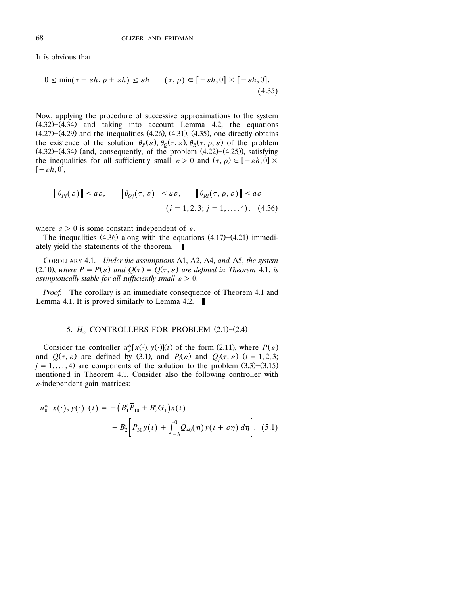It is obvious that

$$
0 \le \min(\tau + \varepsilon h, \rho + \varepsilon h) \le \varepsilon h \qquad (\tau, \rho) \in [-\varepsilon h, 0] \times [-\varepsilon h, 0].
$$
\n(4.35)

Now, applying the procedure of successive approximations to the system  $(4.32)$  $-(4.34)$  and taking into account Lemma 4.2, the equations  $(4.27)$ – $(4.29)$  and the inequalities  $(4.26)$ ,  $(4.31)$ ,  $(4.35)$ , one directly obtains the existence of the solution  $\theta_P(\varepsilon), \theta_Q(\tau, \varepsilon), \theta_R(\tau, \rho, \varepsilon)$  of the problem  $(4.32)$ – $(4.34)$  (and, consequently, of the problem  $(4.22)$ – $(4.25)$ ), satisfying the inequalities for all sufficiently small  $\varepsilon > 0$  and  $(\tau, \rho) \in [-\varepsilon h, 0] \times$  $[-\varepsilon h, 0],$ 

$$
\|\theta_{Pi}(\varepsilon)\| \le a\varepsilon, \qquad \|\theta_{Qj}(\tau,\varepsilon)\| \le a\varepsilon, \qquad \|\theta_{Ri}(\tau,\rho,\varepsilon)\| \le a\varepsilon
$$
  

$$
(i = 1,2,3; j = 1,...,4), \quad (4.36)
$$

where  $a > 0$  is some constant independent of  $\varepsilon$ .

The inequalities  $(4.36)$  along with the equations  $(4.17)$ – $(4.21)$  immediately yield the statements of the theorem.  $\blacksquare$ 

COROLLARY 4.1. *Under the assumptions* A1, A2, A4, *and* A5, *the system* (2.10), where  $P = P(\varepsilon)$  and  $Q(\tau) = Q(\tau, \varepsilon)$  are defined in Theorem 4.1, is *asymptotically stable for all sufficiently small*  $\varepsilon > 0$ .

*Proof.* The corollary is an immediate consequence of Theorem 4.1 and Lemma 4.1. It is proved similarly to Lemma 4.2.  $\blacksquare$ 

# 5.  $H_{\infty}$  CONTROLLERS FOR PROBLEM (2.1)–(2.4)

Consider the controller  $u_{\varepsilon}^*[x(\cdot), y(\cdot)](t)$  of the form (2.11), where  $P(\varepsilon)$ and  $Q(\tau, \varepsilon)$  are defined by (3.1), and  $P_i(\varepsilon)$  and  $Q_j(\tau, \varepsilon)$  ( $i = 1, 2, 3;$  $j = 1, \ldots, 4$  are components of the solution to the problem  $(3.3)$ – $(3.15)$ mentioned in Theorem 4.1. Consider also the following controller with  $\varepsilon$ -independent gain matrices:

$$
u_0^* [x(\cdot), y(\cdot)](t) = - (B_1' \overline{P}_{10} + B_2' G_1) x(t)
$$
  
- 
$$
B_2' [\overline{P}_{30} y(t) + \int_{-h}^0 Q_{40}(\eta) y(t + \varepsilon \eta) d\eta].
$$
 (5.1)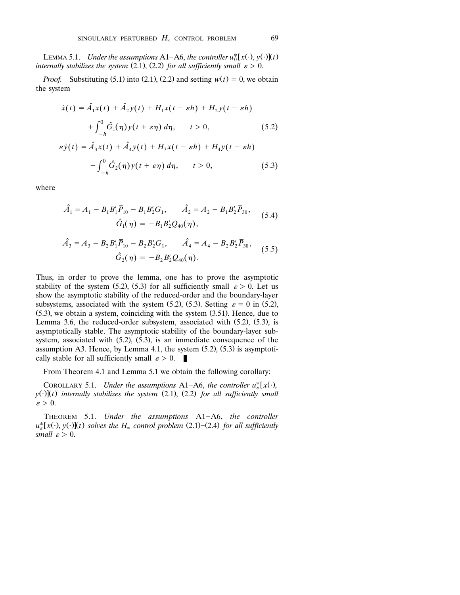LEMMA 5.1. *Under the assumptions* A1-A6, *the controller*  $u_0^*[x(\cdot), y(\cdot)](t)$ *internally stabilizes the system* (2.1), (2.2) *for all sufficiently small*  $\varepsilon > 0$ .

*Proof.* Substituting (5.1) into (2.1), (2.2) and setting  $w(t) = 0$ , we obtain the system

$$
\dot{x}(t) = \hat{A}_1 x(t) + \hat{A}_2 y(t) + H_1 x(t - \varepsilon h) + H_2 y(t - \varepsilon h)
$$
  
+ 
$$
\int_{-h}^{0} \hat{G}_1(\eta) y(t + \varepsilon \eta) d\eta, \qquad t > 0,
$$
 (5.2)  

$$
\varepsilon \dot{y}(t) = \hat{A}_3 x(t) + \hat{A}_4 y(t) + H_3 x(t - \varepsilon h) + H_4 y(t - \varepsilon h)
$$
  
+ 
$$
\int_{-h}^{0} \hat{G}_2(\eta) y(t + \varepsilon \eta) d\eta, \qquad t > 0,
$$
 (5.3)

where

$$
\hat{A}_1 = A_1 - B_1 B_1' \overline{P}_{10} - B_1 B_2' G_1, \qquad \hat{A}_2 = A_2 - B_1 B_2' \overline{P}_{30},
$$
\n
$$
\hat{G}_1(\eta) = -B_1 B_2' Q_{40}(\eta),
$$
\n
$$
\hat{A}_3 = A_3 - B_2 B_1' \overline{P}_{10} - B_2 B_2' G_1, \qquad \hat{A}_4 = A_4 - B_2 B_2' \overline{P}_{30},
$$
\n
$$
\hat{G}_2(\eta) = -B_2 B_2' Q_{40}(\eta).
$$
\n(5.5)

Thus, in order to prove the lemma, one has to prove the asymptotic stability of the system (5.2), (5.3) for all sufficiently small  $\varepsilon > 0$ . Let us show the asymptotic stability of the reduced-order and the boundary-layer subsystems, associated with the system (5.2), (5.3). Setting  $\varepsilon = 0$  in (5.2),  $(5.3)$ , we obtain a system, coinciding with the system  $(3.51)$ . Hence, due to Lemma 3.6, the reduced-order subsystem, associated with  $(5.2)$ ,  $(5.3)$ , is asymptotically stable. The asymptotic stability of the boundary-layer subsystem, associated with  $(5.2)$ ,  $(5.3)$ , is an immediate consequence of the assumption A3. Hence, by Lemma 4.1, the system  $(5.2)$ ,  $(5.3)$  is asymptotically stable for all sufficiently small  $\varepsilon > 0$ .

From Theorem 4.1 and Lemma 5.1 we obtain the following corollary:

COROLLARY 5.1. *Under the assumptions* A1-A6, *the controller*  $u_{\varepsilon}^*[x(\cdot),$  $y(\cdot)(t)$  internally stabilizes the system (2.1), (2.2) for all sufficiently small  $\varepsilon > 0$ .

THEOREM 5.1. *Under the assumptions* A1-A6, *the controller*  $u_{\varepsilon}^*[x(\cdot), y(\cdot)](t)$  *solves the*  $H_{\infty}$  *control problem* (2.1)–(2.4) *for all sufficiently small*  $\varepsilon > 0$ .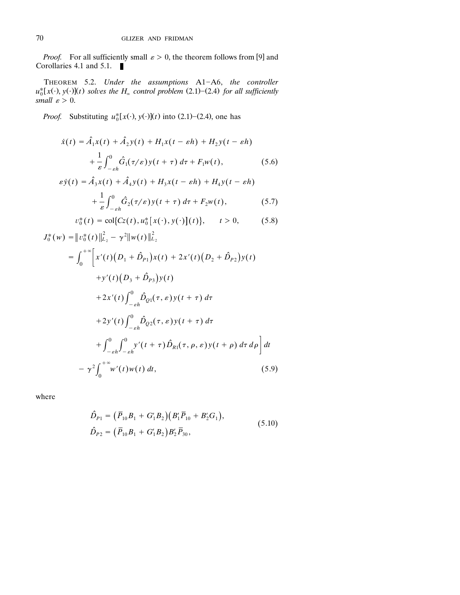*Proof.* For all sufficiently small  $\varepsilon > 0$ , the theorem follows from [9] and Corollaries 4.1 and 5.1. п

THEOREM 5.2. *Under the assumptions* A1-A6, *the controller*  $u_0^* [x(\cdot), y(\cdot)](t)$  *solves the H<sub>∞</sub> control problem* (2.1)–(2.4) *for all sufficiently small*  $\varepsilon > 0$ .

*Proof.* Substituting  $u_0^*$ [ $x(\cdot)$ ,  $y(\cdot)$ ]( $t$ ) into (2.1)–(2.4), one has

$$
\dot{x}(t) = \hat{A}_1 x(t) + \hat{A}_2 y(t) + H_1 x(t - \varepsilon h) + H_2 y(t - \varepsilon h) + \frac{1}{\varepsilon} \int_{-\varepsilon h}^0 \hat{G}_1(\tau/\varepsilon) y(t + \tau) d\tau + F_1 w(t),
$$
\n(5.6)

$$
\varepsilon \dot{y}(t) = \hat{A}_3 x(t) + \hat{A}_4 y(t) + H_3 x(t - \varepsilon h) + H_4 y(t - \varepsilon h)
$$
  
+ 
$$
\frac{1}{\varepsilon} \int_{-\varepsilon h}^{0} \hat{G}_2(\tau/\varepsilon) y(t + \tau) d\tau + F_2 w(t),
$$
 (5.7)

$$
v_0^*(t) = \text{col}\{Cz(t), u_0^*[x(\cdot), y(\cdot)](t)\}, \qquad t > 0,
$$
 (5.8)

$$
J_0^*(w) = ||v_0^*(t)||_{L_2}^2 - \gamma^2 ||w(t)||_{L_2}^2
$$
  
\n
$$
= \int_0^{+\infty} \left[ x'(t) \left( D_1 + \hat{D}_{P1} \right) x(t) + 2x'(t) \left( D_2 + \hat{D}_{P2} \right) y(t) + y'(t) \left( D_3 + \hat{D}_{P3} \right) y(t) + 2x'(t) \int_{-\varepsilon h}^0 \hat{D}_{Q1}(\tau, \varepsilon) y(t + \tau) d\tau + 2y'(t) \int_{-\varepsilon h}^0 \hat{D}_{Q2}(\tau, \varepsilon) y(t + \tau) d\tau + \int_{-\varepsilon h}^0 \int_{-\varepsilon h}^0 y'(t + \tau) \hat{D}_{R1}(\tau, \rho, \varepsilon) y(t + \rho) d\tau d\rho \right] dt
$$
  
\n
$$
- \gamma^2 \int_0^{+\infty} w'(t) w(t) dt, \qquad (5.9)
$$

where

$$
\hat{D}_{P1} = (\bar{P}_{10}B_1 + G_1B_2)(B_1\bar{P}_{10} + B_2G_1),
$$
  
\n
$$
\hat{D}_{P2} = (\bar{P}_{10}B_1 + G_1B_2)B_2'\bar{P}_{30},
$$
\n(5.10)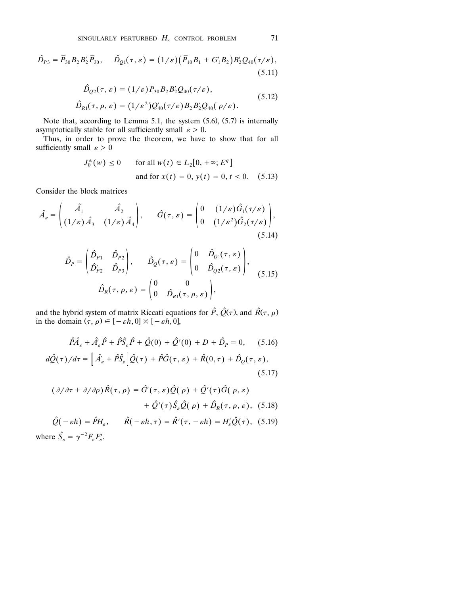$$
\hat{D}_{p_3} = \bar{P}_{30} B_2 B_2' \bar{P}_{30}, \quad \hat{D}_{Q1}(\tau, \varepsilon) = (1/\varepsilon) (\bar{P}_{10} B_1 + G_1' B_2) B_2' Q_{40}(\tau/\varepsilon),
$$
\n(5.11)

$$
\hat{D}_{Q2}(\tau,\varepsilon) = (1/\varepsilon)\bar{P}_{30}B_2B_2'Q_{40}(\tau/\varepsilon), \n\hat{D}_{R1}(\tau,\rho,\varepsilon) = (1/\varepsilon^2)Q_{40}'(\tau/\varepsilon)B_2B_2'Q_{40}(\rho/\varepsilon).
$$
\n(5.12)

Note that, according to Lemma 5.1, the system  $(5.6)$ ,  $(5.7)$  is internally asymptotically stable for all sufficiently small  $\varepsilon > 0$ .

Thus, in order to prove the theorem, we have to show that for all sufficiently small  $\varepsilon > 0$ 

$$
J_0^*(w) \le 0
$$
 for all  $w(t) \in L_2[0, +\infty; E^q]$   
and for  $x(t) = 0, y(t) = 0, t \le 0$ . (5.13)

Consider the block matrices

$$
\hat{A}_{\varepsilon} = \begin{pmatrix} \hat{A}_1 & \hat{A}_2 \\ (1/\varepsilon)\hat{A}_3 & (1/\varepsilon)\hat{A}_4 \end{pmatrix}, \qquad \hat{G}(\tau,\varepsilon) = \begin{pmatrix} 0 & (1/\varepsilon)\hat{G}_1(\tau/\varepsilon) \\ 0 & (1/\varepsilon^2)\hat{G}_2(\tau/\varepsilon) \end{pmatrix},
$$
\n(5.14)

$$
\hat{D}_P = \begin{pmatrix} \hat{D}_{P1} & \hat{D}_{P2} \\ \hat{D}'_{P2} & \hat{D}_{P3} \end{pmatrix}, \qquad \hat{D}_Q(\tau, \varepsilon) = \begin{pmatrix} 0 & \hat{D}_{Q1}(\tau, \varepsilon) \\ 0 & \hat{D}_{Q2}(\tau, \varepsilon) \end{pmatrix},
$$
\n
$$
\hat{D}_R(\tau, \rho, \varepsilon) = \begin{pmatrix} 0 & 0 \\ 0 & \hat{D}_{R1}(\tau, \rho, \varepsilon) \end{pmatrix}, \qquad (5.15)
$$

and the hybrid system of matrix Riccati equations for  $\hat{P}$ ,  $\hat{Q}(\tau)$ , and  $\hat{R}(\tau, \rho)$ in the domain  $(\tau, \rho) \in [-\varepsilon h, 0] \times [-\varepsilon h, 0]$ ,

$$
\hat{P}\hat{A}_{\varepsilon} + \hat{A}_{\varepsilon}'\hat{P} + \hat{P}\hat{S}_{\varepsilon}\hat{P} + \hat{Q}(0) + \hat{Q}'(0) + D + \hat{D}_{P} = 0, \quad (5.16)
$$

$$
d\hat{Q}(\tau)/d\tau = \left[\hat{A}_{\varepsilon} + \hat{P}\hat{S}_{\varepsilon}\right]\hat{Q}(\tau) + \hat{P}\hat{G}(\tau,\varepsilon) + \hat{R}(0,\tau) + \hat{D}_{Q}(\tau,\varepsilon),
$$
\n(5.17)

$$
(\partial/\partial \tau + \partial/\partial \rho) \hat{R}(\tau, \rho) = \hat{G}'(\tau, \varepsilon) \hat{Q}(\rho) + \hat{Q}'(\tau) \hat{G}(\rho, \varepsilon) + \hat{Q}'(\tau) \hat{S}_{\varepsilon} \hat{Q}(\rho) + \hat{D}_R(\tau, \rho, \varepsilon), (5.18)
$$

 $\hat{Q}(-\varepsilon h) = \hat{P}H_{\varepsilon}, \qquad \hat{R}(-\varepsilon h, \tau) = \hat{R}'(\tau, -\varepsilon h) = H_{\varepsilon}'\hat{Q}(\tau),$  (5.19) where  $\hat{S}_{\varepsilon} = \gamma^{-2} F_{\varepsilon} F_{\varepsilon}'$ .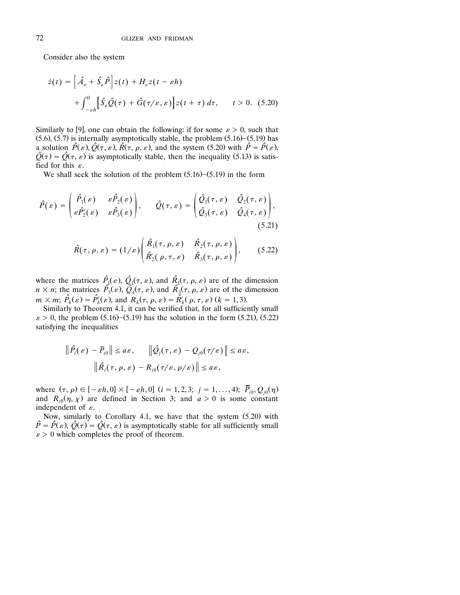Consider also the system

$$
\dot{z}(t) = \left[\hat{A}_{\varepsilon} + \hat{S}_{\varepsilon}\hat{P}\right]z(t) + H_{\varepsilon}z(t - \varepsilon h)
$$

$$
+ \int_{-\varepsilon h}^{0} \left[\hat{S}_{\varepsilon}\hat{Q}(\tau) + \hat{G}(\tau/\varepsilon, \varepsilon)\right]z(t + \tau) d\tau, \qquad t > 0. \quad (5.20)
$$

Similarly to [9], one can obtain the following: if for some  $\varepsilon > 0$ , such that  $(5.6)$ ,  $(5.7)$  is internally asymptotically stable, the problem  $(5.16)$ – $(5.19)$  has a solution  $\hat{P}(\varepsilon), \hat{Q}(\tau, \varepsilon), \hat{R}(\tau, \rho, \varepsilon)$ , and the system (5.20) with  $\hat{P} = \hat{P}(\varepsilon)$ ,  $\hat{Q}(\tau) = \hat{Q}(\tau, \varepsilon)$  is asymptotically stable, then the inequality (5.13) is satisfied for this  $\varepsilon$ .

We shall seek the solution of the problem  $(5.16)$ – $(5.19)$  in the form

$$
\hat{P}(\varepsilon) = \begin{pmatrix} \hat{P}_1(\varepsilon) & \varepsilon \hat{P}_2(\varepsilon) \\ \varepsilon \hat{P}_2'(\varepsilon) & \varepsilon \hat{P}_3(\varepsilon) \end{pmatrix}, \qquad \hat{Q}(\tau, \varepsilon) = \begin{pmatrix} \hat{Q}_1(\tau, \varepsilon) & \hat{Q}_2(\tau, \varepsilon) \\ \hat{Q}_3(\tau, \varepsilon) & \hat{Q}_4(\tau, \varepsilon) \end{pmatrix},
$$
\n(5.21)

$$
\hat{R}(\tau,\rho,\varepsilon)=(1/\varepsilon)\begin{pmatrix}\hat{R}_1(\tau,\rho,\varepsilon)&\hat{R}_2(\tau,\rho,\varepsilon)\\ \hat{R}_2'(\rho,\tau,\varepsilon)&\hat{R}_3(\tau,\rho,\varepsilon)\end{pmatrix},\qquad(5.22)
$$

where the matrices  $\hat{P}_{1}(\varepsilon), \hat{Q}_{1}(\tau, \varepsilon)$ , and  $\hat{R}_{1}(\tau, \rho, \varepsilon)$  are of the dimension  $n \times n$ ; the matrices  $\hat{P}_3(\varepsilon)$ ,  $\hat{Q}_4(\tau, \varepsilon)$ , and  $\hat{R}_3(\tau, \rho, \varepsilon)$  are of the dimension  $m \times m$ ;  $\hat{P}_k(\varepsilon) = \hat{P}_k'(\varepsilon)$ , and  $R_k(\tau, \rho, \varepsilon) = \hat{R}_k'(\rho, \tau, \varepsilon)$  ( $k = 1, 3$ ).

Similarly to Theorem 4.1, it can be verified that, for all sufficiently small  $\varepsilon > 0$ , the problem (5.16)–(5.19) has the solution in the form (5.21), (5.22) satisfying the inequalities

$$
\|\hat{P}_i(\varepsilon) - \overline{P}_{i0}\| \le a\varepsilon, \qquad \|\hat{Q}_j(\tau, \varepsilon) - Q_{j0}(\tau/\varepsilon)\| \le a\varepsilon,
$$
  

$$
\|\hat{R}_i(\tau, \rho, \varepsilon) - R_{i0}(\tau/\varepsilon, \rho/\varepsilon)\| \le a\varepsilon,
$$

where  $(\tau, \rho) \in [-\varepsilon h, 0] \times [-\varepsilon h, 0]$   $(i = 1, 2, 3; j = 1, ..., 4)$ ;  $\bar{P}_{i0}, Q_{j0}(\eta)$ and  $R_{i0}(\eta, \chi)$  are defined in Section 3; and  $a > 0$  is some constant independent of  $\varepsilon$ .

Now, similarly to Corollary 4.1, we have that the system  $(5.20)$  with  $\hat{P} = \hat{P}(\varepsilon), \hat{Q}(\tau) = \hat{Q}(\tau, \varepsilon)$  is asymptotically stable for all sufficiently small  $\varepsilon > 0$  which completes the proof of theorem.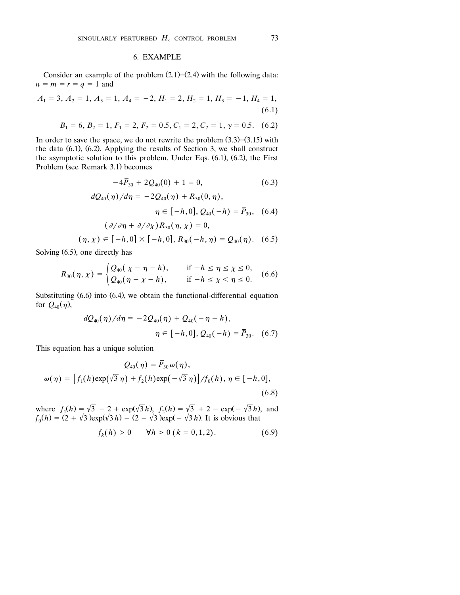#### 6. EXAMPLE

Consider an example of the problem  $(2.1)$ – $(2.4)$  with the following data:  $n = m = r = q = 1$  and

$$
A_1 = 3, A_2 = 1, A_3 = 1, A_4 = -2, H_1 = 2, H_2 = 1, H_3 = -1, H_4 = 1,
$$
\n(6.1)

$$
B_1 = 6, B_2 = 1, F_1 = 2, F_2 = 0.5, C_1 = 2, C_2 = 1, \gamma = 0.5.
$$
 (6.2)

In order to save the space, we do not rewrite the problem  $(3.3)$ – $(3.15)$  with the data  $(6.1)$ ,  $(6.2)$ . Applying the results of Section 3, we shall construct the asymptotic solution to this problem. Under Eqs.  $(6.1)$ ,  $(6.2)$ , the First Problem (see Remark 3.1) becomes

$$
-4\overline{P}_{30} + 2Q_{40}(0) + 1 = 0,
$$
\n(6.3)  
\n
$$
dQ_{40}(\eta)/d\eta = -2Q_{40}(\eta) + R_{30}(0, \eta),
$$
\n
$$
\eta \in [-h, 0], Q_{40}(-h) = \overline{P}_{30},
$$
\n(6.4)  
\n
$$
(\partial/\partial \eta + \partial/\partial \chi)R_{30}(\eta, \chi) = 0,
$$
\n
$$
(\eta, \chi) \in [-h, 0] \times [-h, 0], R_{30}(-h, \eta) = Q_{40}(\eta).
$$
\n(6.5)

Solving  $(6.5)$ , one directly has

$$
R_{30}(\eta, \chi) = \begin{cases} Q_{40}(\chi - \eta - h), & \text{if } -h \le \eta \le \chi \le 0, \\ Q_{40}(\eta - \chi - h), & \text{if } -h \le \chi < \eta \le 0. \end{cases} \tag{6.6}
$$

Substituting  $(6.6)$  into  $(6.4)$ , we obtain the functional-differential equation for  $Q_{40}(\eta)$ ,

$$
dQ_{40}(\eta)/d\eta = -2Q_{40}(\eta) + Q_{40}(-\eta - h),
$$
  

$$
\eta \in [-h, 0], Q_{40}(-h) = \overline{P}_{30}. \quad (6.7)
$$

This equation has a unique solution

$$
Q_{40}(\eta) = \overline{P}_{30} \omega(\eta),
$$
  

$$
\omega(\eta) = \left[f_1(h) \exp(\sqrt{3} \eta) + f_2(h) \exp(-\sqrt{3} \eta)\right] / f_0(h), \eta \in [-h, 0],
$$
  
(6.8)

where  $f_1(h) = \sqrt{3} - 2 + \exp(\sqrt{3}h)$ ,  $f_2(h) = \sqrt{3} + 2 - \exp(-\sqrt{3}h)$ , and  $f_0(h) = (2 + \sqrt{3}) \exp(\sqrt{3}h) - (2 - \sqrt{3}) \exp(-\sqrt{3}h)$ . It is obvious that

$$
f_k(h) > 0 \qquad \forall h \ge 0 \ (k = 0, 1, 2). \tag{6.9}
$$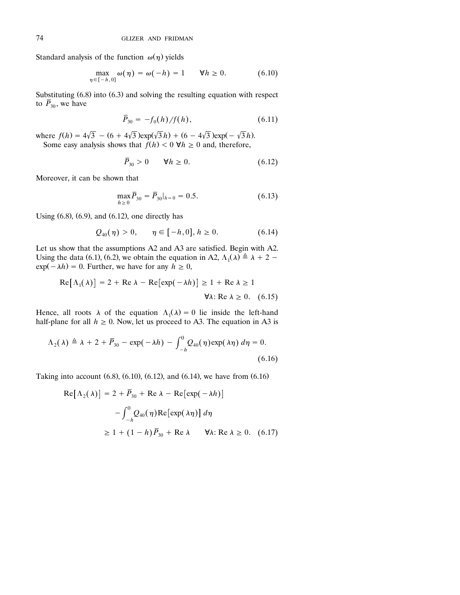Standard analysis of the function  $\omega(\eta)$  yields

$$
\max_{\eta \in [-h,0]} \omega(\eta) = \omega(-h) = 1 \qquad \forall h \ge 0. \tag{6.10}
$$

Substituting  $(6.8)$  into  $(6.3)$  and solving the resulting equation with respect to  $\overline{P}_{30}$ , we have

$$
\overline{P}_{30} = -f_0(h)/f(h),\tag{6.11}
$$

where  $f(h) = 4\sqrt{3} - (6 + 4\sqrt{3})\exp(\sqrt{3}h) + (6 - 4\sqrt{3})\exp(-\sqrt{3}h)$ . Some easy analysis shows that  $\hat{f}(h) < 0$   $\forall h \ge 0$  and, therefore,

$$
\overline{P}_{30} > 0 \qquad \forall h \ge 0. \tag{6.12}
$$

Moreover, it can be shown that

$$
\max_{h \ge 0} \overline{P}_{30} = \overline{P}_{30}|_{h=0} = 0.5. \tag{6.13}
$$

Using  $(6.8)$ ,  $(6.9)$ , and  $(6.12)$ , one directly has

$$
Q_{40}(\eta) > 0, \quad \eta \in [-h, 0], h \ge 0.
$$
 (6.14)

Let us show that the assumptions A2 and A3 are satisfied. Begin with A2. Using the data (6.1), (6.2), we obtain the equation in A2,  $\Lambda_1(\lambda) \triangleq \lambda + 2$  –  $\exp(-\lambda h) = 0$ . Further, we have for any  $h \ge 0$ ,

$$
Re[\Lambda_1(\lambda)] = 2 + Re \lambda - Re[exp(-\lambda h)] \ge 1 + Re \lambda \ge 1
$$
  

$$
\forall \lambda: Re \lambda \ge 0. \quad (6.15)
$$

Hence, all roots  $\lambda$  of the equation  $\Lambda_1(\lambda) = 0$  lie inside the left-hand half-plane for all  $h \ge 0$ . Now, let us proceed to A3. The equation in A3 is

$$
\Lambda_2(\lambda) \triangleq \lambda + 2 + \overline{P}_{30} - \exp(-\lambda h) - \int_{-h}^0 Q_{40}(\eta) \exp(\lambda \eta) d\eta = 0.
$$
\n(6.16)

Taking into account  $(6.8)$ ,  $(6.10)$ ,  $(6.12)$ , and  $(6.14)$ , we have from  $(6.16)$ 

$$
Re[\Lambda_2(\lambda)] = 2 + \overline{P}_{30} + Re \lambda - Re[exp(-\lambda h)]
$$

$$
- \int_{-h}^{0} Q_{40}(\eta) Re[exp(\lambda \eta)] d\eta
$$

$$
\geq 1 + (1 - h)\overline{P}_{30} + Re \lambda \qquad \forall \lambda: Re \lambda \geq 0. \quad (6.17)
$$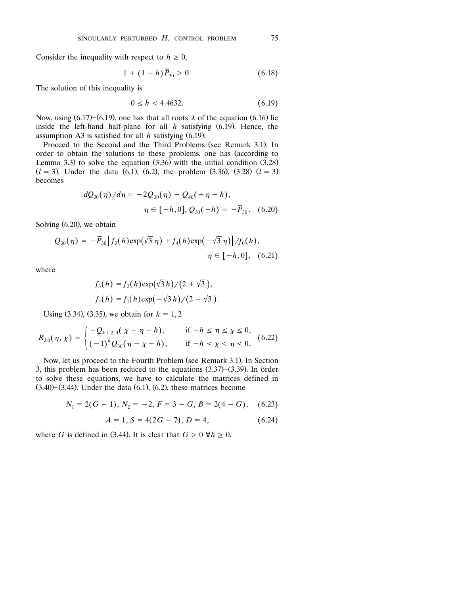Consider the inequality with respect to  $h \geq 0$ ,

$$
1 + (1 - h)\bar{P}_{30} > 0. \tag{6.18}
$$

The solution of this inequality is

$$
0 \le h < 4.4632. \tag{6.19}
$$

Now, using  $(6.17)$ – $(6.19)$ , one has that all roots  $\lambda$  of the equation  $(6.16)$  lie inside the left-hand half-plane for all  $h$  satisfying  $(6.19)$ . Hence, the assumption A3 is satisfied for all  $h$  satisfying  $(6.19)$ .

Proceed to the Second and the Third Problems (see Remark 3.1). In order to obtain the solutions to these problems, one has (according to Lemma 3.3) to solve the equation  $(3.36)$  with the initial condition  $(3.28)$  $(l = 3)$ . Under the data (6.1), (6.2), the problem (3.36), (3.28)  $(l = 3)$ becomes

$$
dQ_{30}(\eta)/d\eta = -2Q_{30}(\eta) - Q_{40}(-\eta - h),
$$
  

$$
\eta \in [-h, 0], Q_{30}(-h) = -\bar{P}_{30}. \quad (6.20)
$$

Solving  $(6.20)$ , we obtain

$$
Q_{30}(\eta) = -\bar{P}_{30} \Big[ f_3(h) \exp(\sqrt{3} \eta) + f_4(h) \exp(-\sqrt{3} \eta) \Big] / f_0(h),
$$
  

$$
\eta \in [-h, 0], \quad (6.21)
$$

where

$$
f_3(h) = f_2(h) \exp(\sqrt{3}h)/(2 + \sqrt{3}),
$$
  

$$
f_4(h) = f_1(h) \exp(-\sqrt{3}h)/(2 - \sqrt{3}).
$$

Using  $(3.34)$ ,  $(3.35)$ , we obtain for  $k = 1, 2$ 

$$
R_{k0}(\eta, \chi) = \begin{cases} -Q_{k+2,0}(\chi - \eta - h), & \text{if } -h \le \eta \le \chi \le 0, \\ (-1)^k Q_{30}(\eta - \chi - h), & \text{if } -h \le \chi < \eta \le 0, \end{cases} \tag{6.22}
$$

Now, let us proceed to the Fourth Problem (see Remark 3.1). In Section 3, this problem has been reduced to the equations  $(3.37)$ – $(3.39)$ . In order to solve these equations, we have to calculate the matrices defined in  $(3.40)$ – $(3.44)$ . Under the data  $(6.1)$ ,  $(6.2)$ , these matrices become

$$
N_1 = 2(G-1), N_2 = -2, \overline{F} = 3 - G, \overline{B} = 2(4 - G), \quad (6.23)
$$

$$
\overline{A} = 1, \overline{S} = 4(2G - 7), \overline{D} = 4, \tag{6.24}
$$

where *G* is defined in (3.44). It is clear that  $G > 0 \forall h \ge 0$ .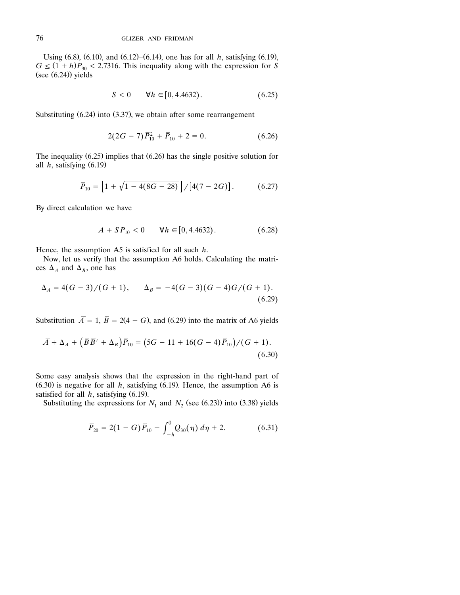Using  $(6.8)$ ,  $(6.10)$ , and  $(6.12)$ – $(6.14)$ , one has for all *h*, satisfying  $(6.19)$ ,  $G \leq (1 + h)\overline{P}_{30}$  < 2.7316. This inequality along with the expression for  $\overline{S}$  $(see (6.24))$  yields

$$
\overline{S} < 0 \qquad \forall h \in [0, 4.4632). \tag{6.25}
$$

Substituting  $(6.24)$  into  $(3.37)$ , we obtain after some rearrangement

$$
2(2G-7)\bar{P}_{10}^2 + \bar{P}_{10} + 2 = 0.
$$
 (6.26)

The inequality  $(6.25)$  implies that  $(6.26)$  has the single positive solution for all  $h$ , satisfying  $(6.19)$ 

$$
\overline{P}_{10} = \left[1 + \sqrt{1 - 4(8G - 28)}\right] / [4(7 - 2G)]. \tag{6.27}
$$

By direct calculation we have

$$
\overline{A} + \overline{S}\overline{P}_{10} < 0 \qquad \forall h \in [0, 4.4632). \tag{6.28}
$$

Hence, the assumption A5 is satisfied for all such *h*.

Now, let us verify that the assumption A6 holds. Calculating the matrices  $\Delta_A$  and  $\Delta_B$ , one has

$$
\Delta_A = 4(G-3)/(G+1), \qquad \Delta_B = -4(G-3)(G-4)G/(G+1). \tag{6.29}
$$

Substitution  $\overline{A} = 1$ ,  $\overline{B} = 2(4 - G)$ , and (6.29) into the matrix of A6 yields

$$
\overline{A} + \Delta_A + (\overline{B}\overline{B}' + \Delta_B)\overline{P}_{10} = (5G - 11 + 16(G - 4)\overline{P}_{10})/(G + 1). \tag{6.30}
$$

Some easy analysis shows that the expression in the right-hand part of  $(6.30)$  is negative for all *h*, satisfying  $(6.19)$ . Hence, the assumption A6 is satisfied for all  $h$ , satisfying  $(6.19)$ .

Substituting the expressions for  $N_1$  and  $N_2$  (see (6.23)) into (3.38) yields

$$
\overline{P}_{20} = 2(1 - G)\overline{P}_{10} - \int_{-h}^{0} Q_{30}(\eta) \, d\eta + 2. \tag{6.31}
$$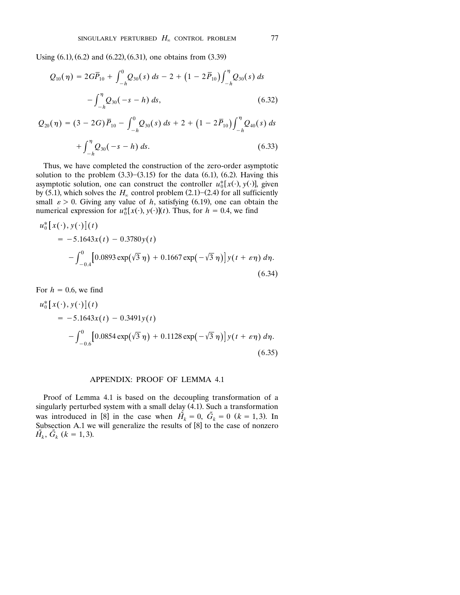Using  $(6.1)$ ,  $(6.2)$  and  $(6.22)$ ,  $(6.31)$ , one obtains from  $(3.39)$ 

$$
Q_{10}(\eta) = 2G\overline{P}_{10} + \int_{-h}^{0} Q_{30}(s) ds - 2 + (1 - 2\overline{P}_{10}) \int_{-h}^{\eta} Q_{30}(s) ds - \int_{-h}^{\eta} Q_{30}(-s - h) ds,
$$
\n(6.32)

$$
Q_{20}(\eta) = (3 - 2G)\overline{P}_{10} - \int_{-h}^{0} Q_{30}(s) ds + 2 + (1 - 2\overline{P}_{10}) \int_{-h}^{\eta} Q_{40}(s) ds + \int_{-h}^{\eta} Q_{30}(-s - h) ds.
$$
 (6.33)

Thus, we have completed the construction of the zero-order asymptotic solution to the problem  $(3.3)$ – $(3.15)$  for the data  $(6.1)$ ,  $(6.2)$ . Having this asymptotic solution, one can construct the controller  $u_0^*[x(\cdot), y(\cdot)]$ , given by (5.1), which solves the  $H_{\infty}$  control problem (2.1)–(2.4) for all sufficiently small  $\varepsilon > 0$ . Giving any value of h, satisfying (6.19), one can obtain the small  $\varepsilon > 0$ . Giving any value of *h*, satisfying (6.19), one can obtain the numerical expression for  $u_0^*[x(\cdot), y(\cdot)](t)$ . Thus, for  $h = 0.4$ , we find

$$
u_0^* [x(\cdot), y(\cdot)](t)
$$
  
= -5.1643x(t) - 0.3780y(t)  

$$
- \int_{-0.4}^0 [0.0893 \exp(\sqrt{3} \eta) + 0.1667 \exp(-\sqrt{3} \eta)] y(t + \varepsilon \eta) d\eta.
$$
  
(6.34)

For 
$$
h = 0.6
$$
, we find  
\n
$$
u_0^* [x(\cdot), y(\cdot)](t)
$$
\n
$$
= -5.1643x(t) - 0.3491y(t)
$$
\n
$$
- \int_{-0.6}^0 [0.0854 \exp(\sqrt{3} \eta) + 0.1128 \exp(-\sqrt{3} \eta)] y(t + \varepsilon \eta) d\eta.
$$
\n(6.35)

### APPENDIX: PROOF OF LEMMA 4.1

Proof of Lemma 4.1 is based on the decoupling transformation of a singularly perturbed system with a small delay  $(4.1)$ . Such a transformation was introduced in [8] in the case when  $\tilde{H_k} = 0$ ,  $\tilde{G_k} = 0$  ( $k = 1, 3$ ). In Subsection A.1 we will generalize the results of  $[8]$  to the case of nonzero  $\tilde{H_k}$ ,  $\tilde{G_k}$  ( $k = 1, 3$ ).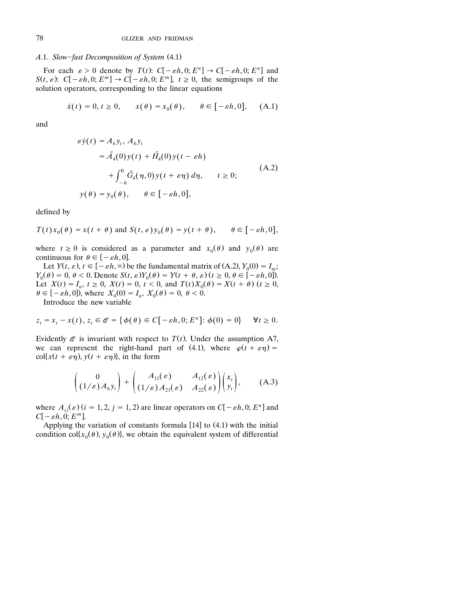### *A.1. Slow-fast Decomposition of System* (4.1)

For each  $\varepsilon > 0$  denote by  $T(t)$ :  $C[-\varepsilon h, 0; E^n] \rightarrow C[-\varepsilon h, 0; E^n]$  and  $S(t, \varepsilon)$ :  $C[-\varepsilon h, 0; E^m] \rightarrow C[-\varepsilon h, 0; E^m]$ ,  $t \ge 0$ , the semigroups of the solution operators, corresponding to the linear equations

$$
\dot{x}(t) = 0, t \ge 0,
$$
  $x(\theta) = x_0(\theta), \quad \theta \in [-\varepsilon h, 0],$  (A.1)

and

$$
\varepsilon \dot{y}(t) = A_b y_t, A_b y_t
$$
  
\n
$$
= \tilde{A}_4(0) y(t) + \tilde{H}_4(0) y(t - \varepsilon h)
$$
  
\n
$$
+ \int_{-h}^{0} \tilde{G}_4(\eta, 0) y(t + \varepsilon \eta) d\eta, \qquad t \ge 0;
$$
  
\n
$$
y(\theta) = y_0(\theta), \qquad \theta \in [-\varepsilon h, 0],
$$
\n(A.2)

defined by

$$
T(t)x_0(\theta) = x(t + \theta)
$$
 and  $S(t, \varepsilon)y_0(\theta) = y(t + \theta)$ ,  $\theta \in [-\varepsilon h, 0]$ ,

where  $t \ge 0$  is considered as a parameter and  $x_0(\theta)$  and  $y_0(\theta)$  are continuous for  $\theta \in [-\varepsilon h, 0]$ .

Let  $Y(t, \varepsilon)$ ,  $t \in [-\varepsilon h, \infty)$  be the fundamental matrix of (A.2),  $Y_0(0) = I_m$ ;  $Y_0(\theta) = 0, \ \theta < 0.$  Denote  $S(t, \varepsilon)Y_0(\theta) = Y(t + \theta, \varepsilon)$   $(t \ge 0, \theta \in [-\varepsilon h, 0])$ . Let  $X(t) = I_n$ ,  $t \ge 0$ ,  $X(t) = 0$ ,  $t < 0$ , and  $T(t)X_0(\theta) = X(t + \theta)$   $(t \ge 0$ ,  $\theta \in [-\varepsilon h, 0]$ , where  $X_0(0) = I_n$ ,  $X_0(\theta) = 0$ ,  $\theta < 0$ .

Introduce the new variable

$$
z_t = x_t - x(t), z_t \in \mathcal{Q} = {\phi(\theta) \in C[-\varepsilon h, 0; E^n]: \phi(0) = 0}
$$
  $\forall t \ge 0.$ 

Evidently  $\mathcal Q$  is invariant with respect to  $T(t)$ . Under the assumption A7, we can represent the right-hand part of (4.1), where  $\varphi(t + \varepsilon \eta) =$  $\text{col}\{x(t+\epsilon\eta), y(t+\epsilon\eta)\}\text{, in the form}$ 

$$
\begin{pmatrix} 0 \ (1/\varepsilon) A_b y_t \end{pmatrix} + \begin{pmatrix} A_{11}(\varepsilon) & A_{12}(\varepsilon) \\ (1/\varepsilon) A_{21}(\varepsilon) & A_{22}(\varepsilon) \end{pmatrix} \begin{pmatrix} x_t \\ y_t \end{pmatrix}, \qquad (A.3)
$$

where  $A_{ij}(\varepsilon)$  ( $i = 1, 2, j = 1, 2$ ) are linear operators on  $C[-\varepsilon h, 0; E^n]$  and  $C[-\varepsilon h, 0; E^m]$ .

Applying the variation of constants formula  $[14]$  to  $(4.1)$  with the initial condition col $\{x_0(\theta), y_0(\theta)\}\$ , we obtain the equivalent system of differential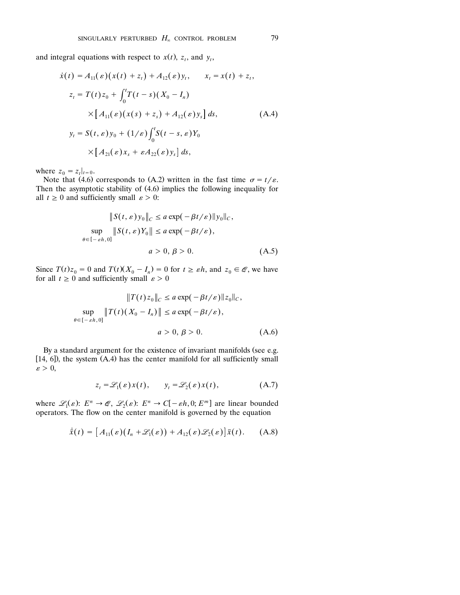and integral equations with respect to  $x(t)$ ,  $z_t$ , and  $y_t$ ,

$$
\dot{x}(t) = A_{11}(\varepsilon)(x(t) + z_t) + A_{12}(\varepsilon)y_t, \qquad x_t = x(t) + z_t,
$$
  
\n
$$
z_t = T(t)z_0 + \int_0^t T(t - s)(X_0 - I_n)
$$
  
\n
$$
\times [A_{11}(\varepsilon)(x(s) + z_s) + A_{12}(\varepsilon)y_s] ds,
$$
  
\n
$$
y_t = S(t, \varepsilon)y_0 + (1/\varepsilon)\int_0^t S(t - s, \varepsilon)Y_0
$$
  
\n
$$
\times [A_{21}(\varepsilon)x_s + \varepsilon A_{22}(\varepsilon)y_s] ds,
$$
\n(A.4)

where  $z_0 = z_t |_{t=0}$ .

Note that (4.6) corresponds to (A.2) written in the fast time  $\sigma = t/\varepsilon$ . Then the asymptotic stability of  $(4.6)$  implies the following inequality for all  $t \geq 0$  and sufficiently small  $\varepsilon > 0$ :

$$
||S(t, \varepsilon) y_0||_C \le a \exp(-\beta t/\varepsilon) ||y_0||_C,
$$
  
\n
$$
\sup_{\theta \in [-\varepsilon h, 0]} ||S(t, \varepsilon)Y_0|| \le a \exp(-\beta t/\varepsilon),
$$
  
\n
$$
a > 0, \beta > 0.
$$
 (A.5)

Since  $T(t)z_0 = 0$  and  $T(t)(X_0 - I_n) = 0$  for  $t \ge \varepsilon h$ , and  $z_0 \in \mathcal{Q}$ , we have for all  $t \geq 0$  and sufficiently small  $\varepsilon > 0$ 

$$
||T(t)z_0||_C \le a \exp(-\beta t/\varepsilon) ||z_0||_C,
$$
  
\n
$$
\sup_{\theta \in [-\varepsilon h, 0]} ||T(t)(X_0 - I_n)|| \le a \exp(-\beta t/\varepsilon),
$$
  
\n
$$
a > 0, \beta > 0.
$$
 (A.6)

By a standard argument for the existence of invariant manifolds (see e.g. [14, 6]), the system  $(A.4)$  has the center manifold for all sufficiently small  $\varepsilon > 0$ ,

$$
z_t = \mathcal{L}_1(\varepsilon) x(t), \qquad y_t = \mathcal{L}_2(\varepsilon) x(t), \tag{A.7}
$$

where  $\mathcal{L}_1(\varepsilon)$ :  $E^n \to \mathcal{Q}, \mathcal{L}_2(\varepsilon)$ :  $E^n \to C[-\varepsilon h, 0; E^m]$  are linear bounded operators. The flow on the center manifold is governed by the equation

$$
\dot{\bar{x}}(t) = [A_{11}(\varepsilon)(I_n + \mathscr{L}_1(\varepsilon)) + A_{12}(\varepsilon)\mathscr{L}_2(\varepsilon)]\bar{x}(t). \quad (A.8)
$$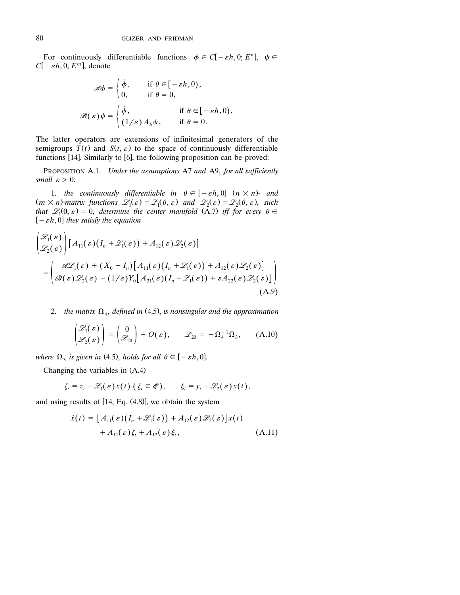For continuously differentiable functions  $\phi \in C[-\varepsilon h, 0; E^n]$ ,  $\psi \in$  $C[-\varepsilon h, 0; E^m]$ , denote

$$
\mathscr{A}\phi = \begin{cases} \dot{\phi}, & \text{if } \theta \in [-\varepsilon h, 0), \\ 0, & \text{if } \theta = 0, \end{cases}
$$

$$
\mathscr{B}(\varepsilon)\psi = \begin{cases} \dot{\psi}, & \text{if } \theta \in [-\varepsilon h, 0), \\ (1/\varepsilon)A_b\psi, & \text{if } \theta = 0. \end{cases}
$$

The latter operators are extensions of infinitesimal generators of the semigroups  $T(t)$  and  $S(t, \varepsilon)$  to the space of continuously differentiable functions  $[14]$ . Similarly to  $[6]$ , the following proposition can be proved:

PROPOSITION A.1. *Under the assumptions* A7 *and* A9, *for all sufficiently small*  $\varepsilon > 0$ :

1. *the continuously differentiable in*  $\theta \in [-\varepsilon h, 0]$   $(n \times n)$ - *and*  $(m \times n)$ -matrix functions  $\mathscr{L}_1(\varepsilon) = \mathscr{L}_1(\theta, \varepsilon)$  and  $\mathscr{L}_2(\varepsilon) = \mathscr{L}_2(\theta, \varepsilon)$ , such that  $\mathscr{L}_1(0,\,\varepsilon) = 0$ , determine the center manifold  $(\tilde{A}.7)$  iff for every  $\theta \in$  $[-\varepsilon h, 0]$  they satisfy the equation

$$
\begin{aligned} &\left(\mathcal{L}_{1}(\varepsilon)\right)\left[A_{11}(\varepsilon)\left(I_{n}+\mathcal{L}_{1}(\varepsilon)\right)+A_{12}(\varepsilon)\mathcal{L}_{2}(\varepsilon)\right] \\ &=\left(\mathcal{A}\mathcal{L}_{1}(\varepsilon)+(X_{0}-I_{n})\right)\left[A_{11}(\varepsilon)\left(I_{n}+\mathcal{L}_{1}(\varepsilon)\right)+A_{12}(\varepsilon)\mathcal{L}_{2}(\varepsilon)\right] \\ &=\left(\mathcal{B}(\varepsilon)\mathcal{L}_{2}(\varepsilon)+(1/\varepsilon)Y_{0}\right]\left[A_{21}(\varepsilon)\left(I_{n}+\mathcal{L}_{1}(\varepsilon)\right)+\varepsilon A_{22}(\varepsilon)\mathcal{L}_{2}(\varepsilon)\right]\right) \end{aligned} \tag{A.9}
$$

2. *the matrix*  $\Omega_4$ , *defined in* (4.5), *is nonsingular and the approximation* 

$$
\begin{pmatrix} \mathscr{L}_1(\varepsilon) \\ \mathscr{L}_2(\varepsilon) \end{pmatrix} = \begin{pmatrix} 0 \\ \mathscr{L}_{20} \end{pmatrix} + O(\varepsilon), \qquad \mathscr{L}_{20} = -\Omega_4^{-1} \Omega_3, \qquad (A.10)
$$

where  $\Omega_3$  is given in (4.5), holds for all  $\theta \in [-\varepsilon h, 0].$ 

Changing the variables in  $(A.4)$ 

$$
\zeta_t = z_t - \mathscr{L}_1(\varepsilon) x(t) \left( \zeta_t \in \mathscr{Q} \right), \qquad \xi_t = y_t - \mathscr{L}_2(\varepsilon) x(t),
$$

and using results of  $[14, Eq. (4.8)],$  we obtain the system

$$
\dot{x}(t) = [A_{11}(\varepsilon)(I_n + \mathcal{L}_1(\varepsilon)) + A_{12}(\varepsilon)\mathcal{L}_2(\varepsilon)]x(t) + A_{11}(\varepsilon)\zeta_t + A_{12}(\varepsilon)\xi_t,
$$
\n(A.11)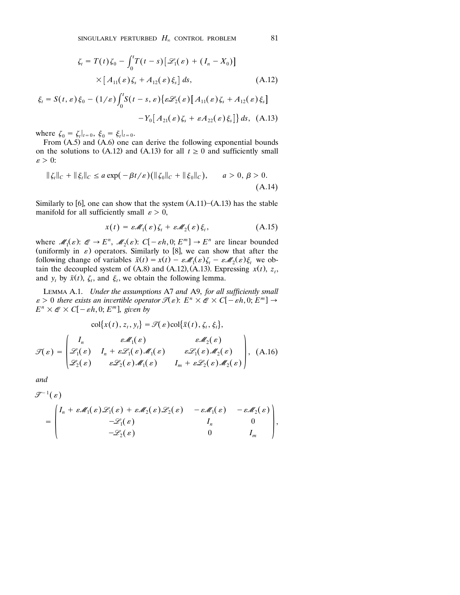$$
\zeta_t = T(t)\zeta_0 - \int_0^t T(t-s) [\mathcal{L}_1(\varepsilon) + (I_n - X_0)]
$$
  
 
$$
\times [A_{11}(\varepsilon)\zeta_s + A_{12}(\varepsilon)\xi_s] ds,
$$
 (A.12)

$$
\xi_t = S(t, \varepsilon) \xi_0 - (1/\varepsilon) \int_0^t S(t - s, \varepsilon) \{ \varepsilon \mathcal{L}_2(\varepsilon) \left[ A_{11}(\varepsilon) \zeta_s + A_{12}(\varepsilon) \xi_s \right] - Y_0 \left[ A_{21}(\varepsilon) \zeta_s + \varepsilon A_{22}(\varepsilon) \xi_s \right] \} ds, \quad (A.13)
$$

where  $\zeta_0 = \zeta_t|_{t=0}, \xi_0 = \xi_t|_{t=0}.$ 

From  $(A.5)$  and  $(A.6)$  one can derive the following exponential bounds on the solutions to (A.12) and (A.13) for all  $t \ge 0$  and sufficiently small  $\varepsilon > 0$ :

$$
\|\zeta_t\|_C + \|\xi_t\|_C \le a\exp(-\beta t/\varepsilon)\big(\|\zeta_0\|_C + \|\xi_0\|_C\big), \qquad a > 0, \, \beta > 0. \tag{A.14}
$$

Similarly to [6], one can show that the system  $(A.11)$ – $(A.13)$  has the stable manifold for all sufficiently small  $\varepsilon > 0$ ,

$$
x(t) = \varepsilon \mathcal{M}_1(\varepsilon) \zeta_t + \varepsilon \mathcal{M}_2(\varepsilon) \xi_t, \qquad (A.15)
$$

where  $\mathcal{M}_1(\varepsilon)$ :  $\mathcal{Q} \to E^n$ ,  $\mathcal{M}_2(\varepsilon)$ :  $C[-\varepsilon h, 0; E^m] \to E^n$  are linear bounded (uniformly in  $\varepsilon$ ) operators. Similarly to [8], we can show that after the following change of variables  $\bar{x}(t) = x(t) - \varepsilon \mathcal{M}_1(\varepsilon) \zeta_t - \varepsilon \mathcal{M}_2(\varepsilon) \xi_t$  we obtain the decoupled system of  $(A.8)$  and  $(A.12)$ ,  $(A.13)$ . Expressing  $x(t)$ ,  $z_t$ , and *y*, by  $\bar{x}(t)$ ,  $\zeta_t$ , and  $\xi_t$ , we obtain the following lemma.

LEMMA A.1. *Under the assumptions* A7 *and* A9, *for all sufficiently small*  $\mathcal{E} \geq 0$  there exists an invertible operator  $\mathcal{I}(\varepsilon)$ :  $E^n \times \mathcal{E} \times C[-\varepsilon h, 0; E^m] \to$ <br> $E^n \times \mathcal{E} \times C[-\varepsilon h, 0; E^m]$  given by  $E^n \times \mathscr{Q} \times C[-\varepsilon h, 0; E^m]$ , given by

$$
\text{col}\{x(t), z_t, y_t\} = \mathcal{T}(\varepsilon)\text{col}\{\bar{x}(t), \zeta_t, \xi_t\},
$$
\n
$$
\mathcal{T}(\varepsilon) = \begin{pmatrix}\nI_n & \varepsilon \mathcal{M}_1(\varepsilon) & \varepsilon \mathcal{M}_2(\varepsilon) \\
\mathcal{L}_1(\varepsilon) & I_n + \varepsilon \mathcal{L}_1(\varepsilon) \mathcal{M}_1(\varepsilon) & \varepsilon \mathcal{L}_1(\varepsilon) \mathcal{M}_2(\varepsilon) \\
\mathcal{L}_2(\varepsilon) & \varepsilon \mathcal{L}_2(\varepsilon) \mathcal{M}_1(\varepsilon) & I_m + \varepsilon \mathcal{L}_2(\varepsilon) \mathcal{M}_2(\varepsilon)\n\end{pmatrix}, (A.16)
$$

*and*

$$
\mathcal{F}^{-1}(\varepsilon)
$$
\n
$$
= \begin{pmatrix}\nI_n + \varepsilon \mathcal{M}_1(\varepsilon) \mathcal{L}_1(\varepsilon) + \varepsilon \mathcal{M}_2(\varepsilon) \mathcal{L}_2(\varepsilon) & -\varepsilon \mathcal{M}_1(\varepsilon) & -\varepsilon \mathcal{M}_2(\varepsilon) \\
-\mathcal{L}_1(\varepsilon) & I_n & 0 \\
-\mathcal{L}_2(\varepsilon) & 0 & I_m\n\end{pmatrix},
$$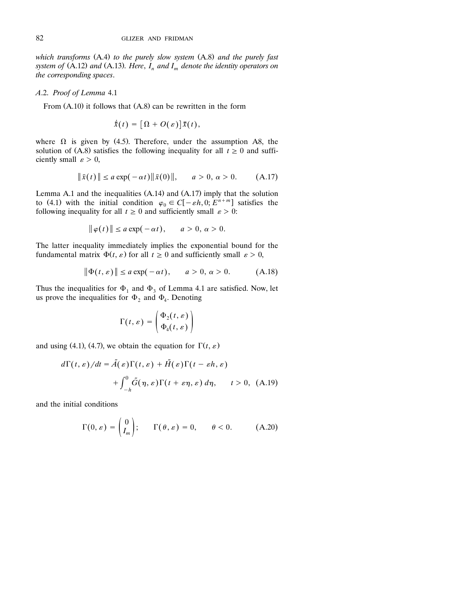*which transforms* Ž. Ž. A.4 *to the purely slow system* A.8 *and the purely fast system of* (A.12) and (A.13). Here,  $I_n$  and  $I_m$  denote the identity operators on *the corresponding spaces*.

#### *A*.2. *Proof of Lemma* 4.1

From  $(A.10)$  it follows that  $(A.8)$  can be rewritten in the form

$$
\dot{\bar{x}}(t) = [\Omega + O(\varepsilon)]\bar{x}(t),
$$

where  $\Omega$  is given by (4.5). Therefore, under the assumption A8, the solution of (A.8) satisfies the following inequality for all  $t \ge 0$  and sufficiently small  $\varepsilon > 0$ ,

$$
\|\bar{x}(t)\| \le a \exp(-\alpha t) \|\bar{x}(0)\|, \quad a > 0, \, \alpha > 0. \tag{A.17}
$$

Lemma A.1 and the inequalities  $(A.14)$  and  $(A.17)$  imply that the solution to (4.1) with the initial condition  $\varphi_0 \in C[-\varepsilon h, 0; E^{n+m}]$  satisfies the following inequality for all  $t \geq 0$  and sufficiently small  $\varepsilon > 0$ :

$$
\|\varphi(t)\| \le a\exp(-\alpha t), \quad a > 0, \, \alpha > 0.
$$

The latter inequality immediately implies the exponential bound for the fundamental matrix  $\Phi(t, \varepsilon)$  for all  $t \ge 0$  and sufficiently small  $\varepsilon > 0$ ,

$$
\|\Phi(t,\varepsilon)\| \le a\exp(-\alpha t), \qquad a > 0, \, \alpha > 0. \tag{A.18}
$$

Thus the inequalities for  $\Phi_1$  and  $\Phi_3$  of Lemma 4.1 are satisfied. Now, let us prove the inequalities for  $\Phi_2$  and  $\Phi_4$ . Denoting

$$
\Gamma(t,\varepsilon) = \begin{pmatrix} \Phi_2(t,\varepsilon) \\ \Phi_4(t,\varepsilon) \end{pmatrix}
$$

and using (4.1), (4.7), we obtain the equation for  $\Gamma(t, \varepsilon)$ 

$$
d\Gamma(t,\varepsilon)/dt = \tilde{A}(\varepsilon)\Gamma(t,\varepsilon) + \tilde{H}(\varepsilon)\Gamma(t - \varepsilon h, \varepsilon)
$$

$$
+ \int_{-h}^{0} \tilde{G}(\eta, \varepsilon)\Gamma(t + \varepsilon \eta, \varepsilon) d\eta, \qquad t > 0, \text{ (A.19)}
$$

and the initial conditions

$$
\Gamma(0,\varepsilon) = \begin{pmatrix} 0 \\ I_m \end{pmatrix}; \qquad \Gamma(\theta,\varepsilon) = 0, \qquad \theta < 0. \tag{A.20}
$$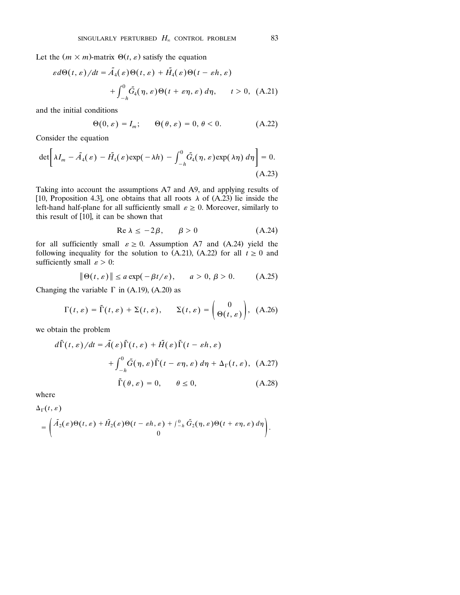Let the  $(m \times m)$ -matrix  $\Theta(t, \varepsilon)$  satisfy the equation

$$
\varepsilon d\Theta(t,\varepsilon)/dt = \tilde{A}_4(\varepsilon)\Theta(t,\varepsilon) + \tilde{H}_4(\varepsilon)\Theta(t-\varepsilon h,\varepsilon)
$$

$$
+ \int_{-h}^{0} \tilde{G}_4(\eta,\varepsilon)\Theta(t+\varepsilon \eta,\varepsilon) d\eta, \qquad t > 0, \text{ (A.21)}
$$

and the initial conditions

$$
\Theta(0,\varepsilon) = I_m; \qquad \Theta(\theta,\varepsilon) = 0, \, \theta < 0. \tag{A.22}
$$

Consider the equation

$$
\det \left[ \lambda I_m - \tilde{A}_4(\varepsilon) - \tilde{H}_4(\varepsilon) \exp(-\lambda h) - \int_{-h}^0 \tilde{G}_4(\eta, \varepsilon) \exp(\lambda \eta) d\eta \right] = 0.
$$
\n(A.23)

Taking into account the assumptions A7 and A9, and applying results of [10, Proposition 4.3], one obtains that all roots  $\lambda$  of (A.23) lie inside the left-hand half-plane for all sufficiently small  $\varepsilon \geq 0$ . Moreover, similarly to this result of  $[10]$ , it can be shown that

$$
\text{Re } \lambda \le -2\beta, \qquad \beta > 0 \tag{A.24}
$$

for all sufficiently small  $\varepsilon \ge 0$ . Assumption A7 and (A.24) yield the following inequality for the solution to  $(A.21)$ ,  $(A.22)$  for all  $t \ge 0$  and sufficiently small  $\varepsilon > 0$ :

$$
\|\Theta(t,\varepsilon)\| \le a\exp(-\beta t/\varepsilon), \qquad a > 0, \, \beta > 0. \tag{A.25}
$$

Changing the variable  $\Gamma$  in (A.19), (A.20) as

$$
\Gamma(t,\varepsilon) = \tilde{\Gamma}(t,\varepsilon) + \Sigma(t,\varepsilon), \qquad \Sigma(t,\varepsilon) = \begin{pmatrix} 0 \\ \Theta(t,\varepsilon) \end{pmatrix}, \tag{A.26}
$$

we obtain the problem

$$
d\tilde{\Gamma}(t,\varepsilon)/dt = \tilde{A}(\varepsilon)\tilde{\Gamma}(t,\varepsilon) + \tilde{H}(\varepsilon)\tilde{\Gamma}(t - \varepsilon h, \varepsilon)
$$

$$
+ \int_{-h}^{0} \tilde{G}(\eta, \varepsilon)\tilde{\Gamma}(t - \varepsilon \eta, \varepsilon) d\eta + \Delta_{\Gamma}(t, \varepsilon), \quad \text{(A.27)}
$$

$$
\tilde{\Gamma}(\theta, \varepsilon) = 0, \qquad \theta \le 0, \qquad \qquad \text{(A.28)}
$$

where

$$
\Delta_{\Gamma}(t, \varepsilon) = \begin{pmatrix} \tilde{A}_2(\varepsilon) \Theta(t, \varepsilon) + \tilde{H}_2(\varepsilon) \Theta(t - \varepsilon h, \varepsilon) + \int_{-h}^0 \tilde{G}_2(\eta, \varepsilon) \Theta(t + \varepsilon \eta, \varepsilon) d\eta \\ 0 \end{pmatrix}.
$$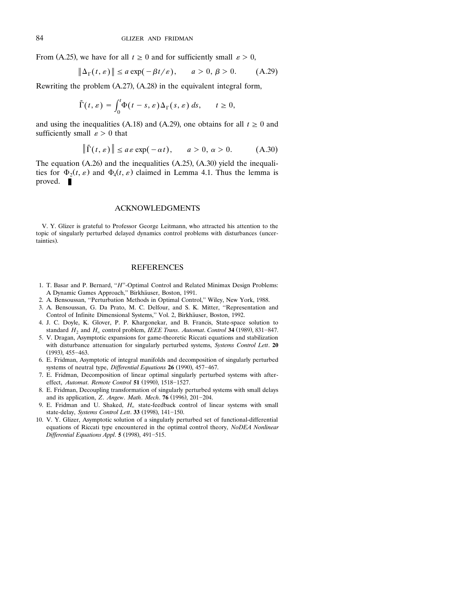From (A.25), we have for all  $t \ge 0$  and for sufficiently small  $\varepsilon > 0$ ,

$$
\|\Delta_{\Gamma}(t,\varepsilon)\| \le a\exp(-\beta t/\varepsilon), \qquad a > 0, \, \beta > 0. \tag{A.29}
$$

Rewriting the problem  $(A.27)$ ,  $(A.28)$  in the equivalent integral form,

$$
\tilde{\Gamma}(t,\varepsilon) = \int_0^t \Phi(t-s,\varepsilon) \Delta_{\Gamma}(s,\varepsilon) \, ds, \qquad t \ge 0,
$$

and using the inequalities (A.18) and (A.29), one obtains for all  $t \ge 0$  and sufficiently small  $\varepsilon > 0$  that

$$
\|\tilde{\Gamma}(t,\varepsilon)\| \le a\varepsilon \exp(-\alpha t), \qquad a > 0, \, \alpha > 0. \tag{A.30}
$$

The equation  $(A.26)$  and the inequalities  $(A.25)$ ,  $(A.30)$  yield the inequalities for  $\Phi_2(t, \varepsilon)$  and  $\Phi_4(t, \varepsilon)$  claimed in Lemma 4.1. Thus the lemma is proved.

#### ACKNOWLEDGMENTS

V. Y. Glizer is grateful to Professor George Leitmann, who attracted his attention to the topic of singularly perturbed delayed dynamics control problems with disturbances (uncertainties).

### REFERENCES

- 1. T. Basar and P. Bernard, "*H*<sup>2</sup>-Optimal Control and Related Minimax Design Problems: A Dynamic Games Approach,'' Birkhauser, Boston, 1991. ¨
- 2. A. Bensoussan, ''Perturbation Methods in Optimal Control,'' Wiley, New York, 1988.
- 3. A. Bensoussan, G. Da Prato, M. C. Delfour, and S. K. Mitter, ''Representation and Control of Infinite Dimensional Systems," Vol. 2, Birkhäuser, Boston, 1992.
- 4. J. C. Doyle, K. Glover, P. P. Khargonekar, and B. Francis, State-space solution to standard  $H_2$  and  $H_\infty$  control problem, *IEEE Trans. Automat. Control* 34 (1989), 831-847.
- 5. V. Dragan, Asymptotic expansions for game-theoretic Riccati equations and stabilization with disturbance attenuation for singularly perturbed systems, *Systems Control Lett*. **20**  $(1993)$ ,  $455-463$ .
- 6. E. Fridman, Asymptotic of integral manifolds and decomposition of singularly perturbed systems of neutral type, *Differential Equations* 26 (1990), 457-467.
- 7. E. Fridman, Decomposition of linear optimal singularly perturbed systems with aftereffect, Automat. Remote Control 51 (1990), 1518-1527.
- 8. E. Fridman, Decoupling transformation of singularly perturbed systems with small delays and its application, *Z. Angew. Math. Mech.* **76** (1996), 201-204.
- 9. E. Fridman and U. Shaked,  $H_{\infty}$  state-feedback control of linear systems with small state-delay, *Systems Control Lett*. 33 (1998), 141-150.
- 10. V. Y. Glizer, Asymptotic solution of a singularly perturbed set of functional-differential equations of Riccati type encountered in the optimal control theory, *NoDEA Nonlinear Differential Equations Appl.* **5** (1998), 491-515.